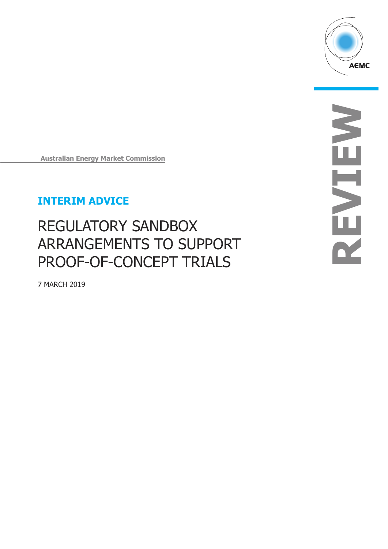

**REVIEW** NENEY

**Australian Energy Market Commission**

## **INTERIM ADVICE**

# REGULATORY SANDBOX ARRANGEMENTS TO SUPPORT PROOF-OF-CONCEPT TRIALS

7 MARCH 2019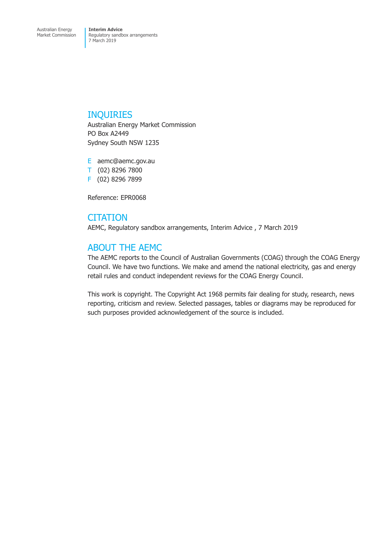### INQUIRIES

Australian Energy Market Commission PO Box A2449 Sydney South NSW 1235

E aemc@aemc.gov.au T (02) 8296 7800 F (02) 8296 7899

Reference: EPR0068

## **CITATION**

AEMC, Regulatory sandbox arrangements, Interim Advice , 7 March 2019

## ABOUT THE AEMC

The AEMC reports to the Council of Australian Governments (COAG) through the COAG Energy Council. We have two functions. We make and amend the national electricity, gas and energy retail rules and conduct independent reviews for the COAG Energy Council.

This work is copyright. The Copyright Act 1968 permits fair dealing for study, research, news reporting, criticism and review. Selected passages, tables or diagrams may be reproduced for such purposes provided acknowledgement of the source is included.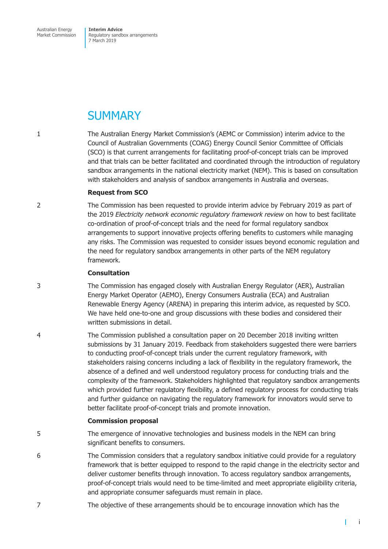Australian Energy Market Commission **Interim Advice**  Regulatory sandbox arrangements 7 March 2019

## **SUMMARY**

1 The Australian Energy Market Commission's (AEMC or Commission) interim advice to the Council of Australian Governments (COAG) Energy Council Senior Committee of Officials (SCO) is that current arrangements for facilitating proof-of-concept trials can be improved and that trials can be better facilitated and coordinated through the introduction of regulatory sandbox arrangements in the national electricity market (NEM). This is based on consultation with stakeholders and analysis of sandbox arrangements in Australia and overseas.

#### **Request from SCO**

2 The Commission has been requested to provide interim advice by February 2019 as part of the 2019 *Electricity network economic regulatory framework review* on how to best facilitate co-ordination of proof-of-concept trials and the need for formal regulatory sandbox arrangements to support innovative projects offering benefits to customers while managing any risks. The Commission was requested to consider issues beyond economic regulation and the need for regulatory sandbox arrangements in other parts of the NEM regulatory framework.

#### **Consultation**

- 3 The Commission has engaged closely with Australian Energy Regulator (AER), Australian Energy Market Operator (AEMO), Energy Consumers Australia (ECA) and Australian Renewable Energy Agency (ARENA) in preparing this interim advice, as requested by SCO. We have held one-to-one and group discussions with these bodies and considered their written submissions in detail.
- 4 The Commission published a consultation paper on 20 December 2018 inviting written submissions by 31 January 2019. Feedback from stakeholders suggested there were barriers to conducting proof-of-concept trials under the current regulatory framework, with stakeholders raising concerns including a lack of flexibility in the regulatory framework, the absence of a defined and well understood regulatory process for conducting trials and the complexity of the framework. Stakeholders highlighted that regulatory sandbox arrangements which provided further regulatory flexibility, a defined regulatory process for conducting trials and further guidance on navigating the regulatory framework for innovators would serve to better facilitate proof-of-concept trials and promote innovation.

#### **Commission proposal**

- 5 The emergence of innovative technologies and business models in the NEM can bring significant benefits to consumers.
- 6 The Commission considers that a regulatory sandbox initiative could provide for a regulatory framework that is better equipped to respond to the rapid change in the electricity sector and deliver customer benefits through innovation. To access regulatory sandbox arrangements, proof-of-concept trials would need to be time-limited and meet appropriate eligibility criteria, and appropriate consumer safeguards must remain in place.
- 7 The objective of these arrangements should be to encourage innovation which has the

 $\mathbf{I}$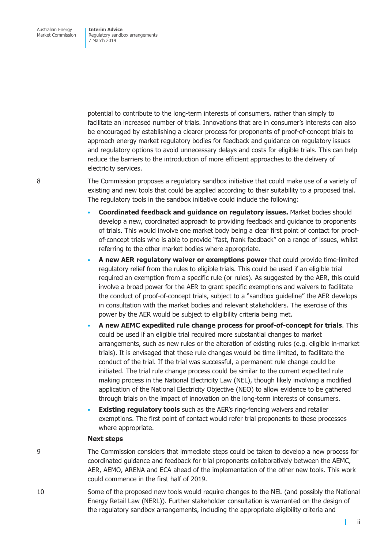potential to contribute to the long-term interests of consumers, rather than simply to facilitate an increased number of trials. Innovations that are in consumer's interests can also be encouraged by establishing a clearer process for proponents of proof-of-concept trials to approach energy market regulatory bodies for feedback and guidance on regulatory issues and regulatory options to avoid unnecessary delays and costs for eligible trials. This can help reduce the barriers to the introduction of more efficient approaches to the delivery of electricity services.

8 The Commission proposes a regulatory sandbox initiative that could make use of a variety of existing and new tools that could be applied according to their suitability to a proposed trial. The regulatory tools in the sandbox initiative could include the following:

- **Coordinated feedback and guidance on regulatory issues.** Market bodies should develop a new, coordinated approach to providing feedback and guidance to proponents of trials. This would involve one market body being a clear first point of contact for proofof-concept trials who is able to provide "fast, frank feedback" on a range of issues, whilst referring to the other market bodies where appropriate.
- **A new AER regulatory waiver or exemptions power** that could provide time-limited regulatory relief from the rules to eligible trials. This could be used if an eligible trial required an exemption from a specific rule (or rules). As suggested by the AER, this could involve a broad power for the AER to grant specific exemptions and waivers to facilitate the conduct of proof-of-concept trials, subject to a "sandbox guideline" the AER develops in consultation with the market bodies and relevant stakeholders. The exercise of this power by the AER would be subject to eligibility criteria being met.
- **A new AEMC expedited rule change process for proof-of-concept for trials**. This could be used if an eligible trial required more substantial changes to market arrangements, such as new rules or the alteration of existing rules (e.g. eligible in-market trials). It is envisaged that these rule changes would be time limited, to facilitate the conduct of the trial. If the trial was successful, a permanent rule change could be initiated. The trial rule change process could be similar to the current expedited rule making process in the National Electricity Law (NEL), though likely involving a modified application of the National Electricity Objective (NEO) to allow evidence to be gathered through trials on the impact of innovation on the long-term interests of consumers.
- **Existing regulatory tools** such as the AER's ring-fencing waivers and retailer exemptions. The first point of contact would refer trial proponents to these processes where appropriate.

#### **Next steps**

9 The Commission considers that immediate steps could be taken to develop a new process for coordinated guidance and feedback for trial proponents collaboratively between the AEMC, AER, AEMO, ARENA and ECA ahead of the implementation of the other new tools. This work could commence in the first half of 2019.

10 Some of the proposed new tools would require changes to the NEL (and possibly the National Energy Retail Law (NERL)). Further stakeholder consultation is warranted on the design of the regulatory sandbox arrangements, including the appropriate eligibility criteria and

ii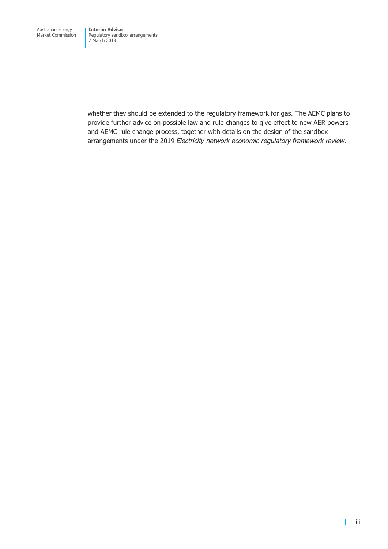whether they should be extended to the regulatory framework for gas. The AEMC plans to provide further advice on possible law and rule changes to give effect to new AER powers and AEMC rule change process, together with details on the design of the sandbox arrangements under the 2019 *Electricity network economic regulatory framework review*.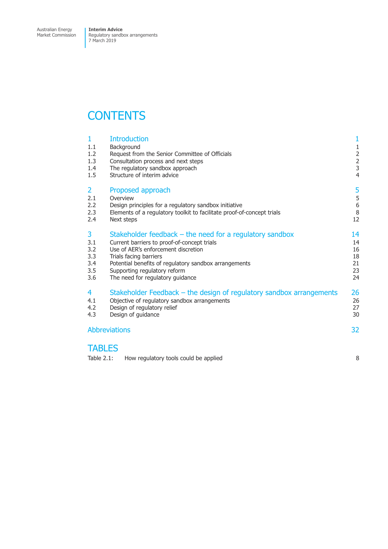Australian Energy Market Commission **Interim Advice**  Regulatory sandbox arrangements 7 March 2019

## **CONTENTS**

|                      | 1<br>1.1<br>1.2<br>1.3<br>1.4<br>1.5 | <b>Introduction</b><br>Background<br>Request from the Senior Committee of Officials<br>Consultation process and next steps<br>The regulatory sandbox approach<br>Structure of interim advice | 1<br>$\frac{1}{2}$<br>$\frac{2}{3}$<br>4 |  |  |
|----------------------|--------------------------------------|----------------------------------------------------------------------------------------------------------------------------------------------------------------------------------------------|------------------------------------------|--|--|
|                      | 2                                    | Proposed approach                                                                                                                                                                            | 5                                        |  |  |
|                      | 2.1                                  | Overview                                                                                                                                                                                     | 5                                        |  |  |
|                      | 2.2                                  | Design principles for a regulatory sandbox initiative                                                                                                                                        | 6                                        |  |  |
|                      | 2.3                                  | Elements of a regulatory toolkit to facilitate proof-of-concept trials                                                                                                                       | 8                                        |  |  |
|                      | 2.4                                  | Next steps                                                                                                                                                                                   | 12                                       |  |  |
|                      | 3                                    | Stakeholder feedback $-$ the need for a regulatory sandbox                                                                                                                                   | 14                                       |  |  |
|                      | 3.1                                  | Current barriers to proof-of-concept trials                                                                                                                                                  | 14                                       |  |  |
|                      | 3.2                                  | Use of AER's enforcement discretion                                                                                                                                                          | 16                                       |  |  |
|                      | 3.3                                  | Trials facing barriers                                                                                                                                                                       | 18                                       |  |  |
|                      | 3.4                                  | Potential benefits of regulatory sandbox arrangements                                                                                                                                        | 21                                       |  |  |
|                      | 3.5                                  | Supporting regulatory reform                                                                                                                                                                 | 23                                       |  |  |
|                      | 3.6                                  | The need for regulatory guidance                                                                                                                                                             | 24                                       |  |  |
|                      | 4                                    | Stakeholder Feedback – the design of regulatory sandbox arrangements                                                                                                                         | 26                                       |  |  |
|                      | 4.1                                  | Objective of regulatory sandbox arrangements                                                                                                                                                 | 26                                       |  |  |
|                      | 4.2                                  | Design of regulatory relief                                                                                                                                                                  | 27                                       |  |  |
|                      | 4.3                                  | Design of guidance                                                                                                                                                                           | 30                                       |  |  |
| <b>Abbreviations</b> |                                      |                                                                                                                                                                                              |                                          |  |  |
|                      |                                      |                                                                                                                                                                                              |                                          |  |  |

### **TABLES**

| Table $2.1$ :<br>How regulatory tools could be applied |  |
|--------------------------------------------------------|--|
|--------------------------------------------------------|--|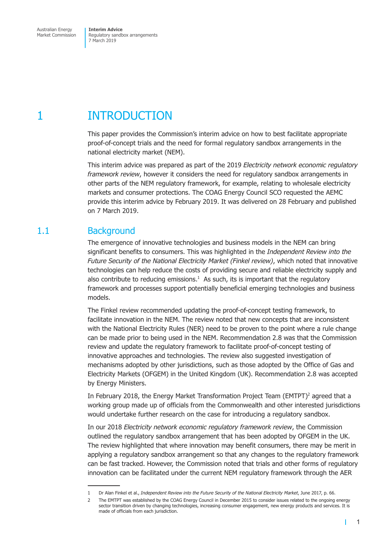## <span id="page-6-0"></span>1 INTRODUCTION

This paper provides the Commission's interim advice on how to best facilitate appropriate proof-of-concept trials and the need for formal regulatory sandbox arrangements in the national electricity market (NEM).

This interim advice was prepared as part of the 2019 *Electricity network economic regulatory framework review*, however it considers the need for regulatory sandbox arrangements in other parts of the NEM regulatory framework, for example, relating to wholesale electricity markets and consumer protections. The COAG Energy Council SCO requested the AEMC provide this interim advice by February 2019. It was delivered on 28 February and published on 7 March 2019.

## 1.1 Background

The emergence of innovative technologies and business models in the NEM can bring significant benefits to consumers. This was highlighted in the *Independent Review into the Future Security of the National Electricity Market (Finkel review)*, which noted that innovative technologies can help reduce the costs of providing secure and reliable electricity supply and also contribute to reducing emissions. $<sup>1</sup>$  As such, its is important that the regulatory</sup> framework and processes support potentially beneficial emerging technologies and business models.

The Finkel review recommended updating the proof-of-concept testing framework, to facilitate innovation in the NEM. The review noted that new concepts that are inconsistent with the National Electricity Rules (NER) need to be proven to the point where a rule change can be made prior to being used in the NEM. Recommendation 2.8 was that the Commission review and update the regulatory framework to facilitate proof-of-concept testing of innovative approaches and technologies. The review also suggested investigation of mechanisms adopted by other jurisdictions, such as those adopted by the Office of Gas and Electricity Markets (OFGEM) in the United Kingdom (UK). Recommendation 2.8 was accepted by Energy Ministers.

In February 2018, the Energy Market Transformation Project Team (EMTPT)<sup>2</sup> agreed that a working group made up of officials from the Commonwealth and other interested jurisdictions would undertake further research on the case for introducing a regulatory sandbox.

In our 2018 *Electricity network economic regulatory framework review*, the Commission outlined the regulatory sandbox arrangement that has been adopted by OFGEM in the UK. The review highlighted that where innovation may benefit consumers, there may be merit in applying a regulatory sandbox arrangement so that any changes to the regulatory framework can be fast tracked. However, the Commission noted that trials and other forms of regulatory innovation can be facilitated under the current NEM regulatory framework through the AER

Т

<sup>1</sup> Dr Alan Finkel et al., *Independent Review into the Future Security of the National Electricity Market*, June 2017, p. 66.

<sup>2</sup> The EMTPT was established by the COAG Energy Council in December 2015 to consider issues related to the ongoing energy sector transition driven by changing technologies, increasing consumer engagement, new energy products and services. It is made of officials from each jurisdiction.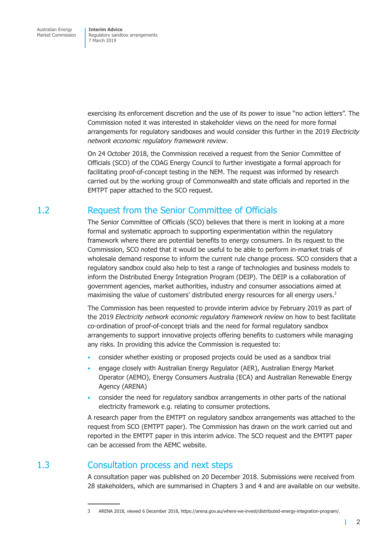<span id="page-7-0"></span>exercising its enforcement discretion and the use of its power to issue "no action letters". The Commission noted it was interested in stakeholder views on the need for more formal arrangements for regulatory sandboxes and would consider this further in the 2019 *Electricity network economic regulatory framework review*.

On 24 October 2018, the Commission received a request from the Senior Committee of Officials (SCO) of the COAG Energy Council to further investigate a formal approach for facilitating proof-of-concept testing in the NEM. The request was informed by research carried out by the working group of Commonwealth and state officials and reported in the EMTPT paper attached to the SCO request.

## 1.2 Request from the Senior Committee of Officials

The Senior Committee of Officials (SCO) believes that there is merit in looking at a more formal and systematic approach to supporting experimentation within the regulatory framework where there are potential benefits to energy consumers. In its request to the Commission, SCO noted that it would be useful to be able to perform in-market trials of wholesale demand response to inform the current rule change process. SCO considers that a regulatory sandbox could also help to test a range of technologies and business models to inform the Distributed Energy Integration Program (DEIP). The DEIP is a collaboration of government agencies, market authorities, industry and consumer associations aimed at maximising the value of customers' distributed energy resources for all energy users.<sup>3</sup>

The Commission has been requested to provide interim advice by February 2019 as part of the 2019 *Electricity network economic regulatory framework review* on how to best facilitate co-ordination of proof-of-concept trials and the need for formal regulatory sandbox arrangements to support innovative projects offering benefits to customers while managing any risks. In providing this advice the Commission is requested to:

- consider whether existing or proposed projects could be used as a sandbox trial
- engage closely with Australian Energy Regulator (AER), Australian Energy Market Operator (AEMO), Energy Consumers Australia (ECA) and Australian Renewable Energy Agency (ARENA)
- consider the need for regulatory sandbox arrangements in other parts of the national electricity framework e.g. relating to consumer protections.

A research paper from the EMTPT on regulatory sandbox arrangements was attached to the request from SCO (EMTPT paper). The Commission has drawn on the work carried out and reported in the EMTPT paper in this interim advice. The SCO request and the EMTPT paper can be accessed from the AEMC website.

## 1.3 Consultation process and next steps

A consultation paper was published on 20 December 2018. Submissions were received from 28 stakeholders, which are summarised in Chapters 3 and 4 and are available on our website.

 $\mathbf{I}$ 

<sup>3</sup> ARENA 2018, viewed 6 December 2018, https://arena.gov.au/where-we-invest/distributed-energy-integration-program/.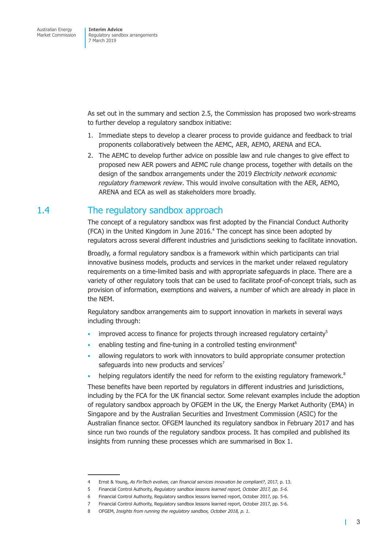<span id="page-8-0"></span>As set out in the summary and section 2.5, the Commission has proposed two work-streams to further develop a regulatory sandbox initiative:

- 1. Immediate steps to develop a clearer process to provide guidance and feedback to trial proponents collaboratively between the AEMC, AER, AEMO, ARENA and ECA.
- 2. The AEMC to develop further advice on possible law and rule changes to give effect to proposed new AER powers and AEMC rule change process, together with details on the design of the sandbox arrangements under the 2019 *Electricity network economic regulatory framework review*. This would involve consultation with the AER, AEMO, ARENA and ECA as well as stakeholders more broadly.

### 1.4 The regulatory sandbox approach

The concept of a regulatory sandbox was first adopted by the Financial Conduct Authority (FCA) in the United Kingdom in June 2016.<sup>4</sup> The concept has since been adopted by regulators across several different industries and jurisdictions seeking to facilitate innovation.

Broadly, a formal regulatory sandbox is a framework within which participants can trial innovative business models, products and services in the market under relaxed regulatory requirements on a time-limited basis and with appropriate safeguards in place. There are a variety of other regulatory tools that can be used to facilitate proof-of-concept trials, such as provision of information, exemptions and waivers, a number of which are already in place in the NEM.

Regulatory sandbox arrangements aim to support innovation in markets in several ways including through:

- improved access to finance for projects through increased regulatory certainty<sup>5</sup>
- enabling testing and fine-tuning in a controlled testing environment<sup>6</sup>
- allowing regulators to work with innovators to build appropriate consumer protection safeguards into new products and services $7$
- helping regulators identify the need for reform to the existing regulatory framework.<sup>8</sup>

These benefits have been reported by regulators in different industries and jurisdictions, including by the FCA for the UK financial sector. Some relevant examples include the adoption of regulatory sandbox approach by OFGEM in the UK, the Energy Market Authority (EMA) in Singapore and by the Australian Securities and Investment Commission (ASIC) for the Australian finance sector. OFGEM launched its regulatory sandbox in February 2017 and has since run two rounds of the regulatory sandbox process. It has compiled and published its insights from running these processes which are summarised in Box 1.

п

<sup>4</sup> Ernst & Young, *As FinTech evolves, can financial services innovation be compliant?*, 2017, p. 13.

<sup>5</sup> Financial Control Authority, *Regulatory sandbox lessons learned report, October 2017, pp. 5-6.*

<sup>6</sup> Financial Control Authority, Regulatory sandbox lessons learned report, October 2017, pp. 5-6.

<sup>7</sup> Financial Control Authority, Regulatory sandbox lessons learned report, October 2017, pp. 5-6.

<sup>8</sup> OFGEM, *Insights from running the regulatory sandbox, October 2018, p. 1.*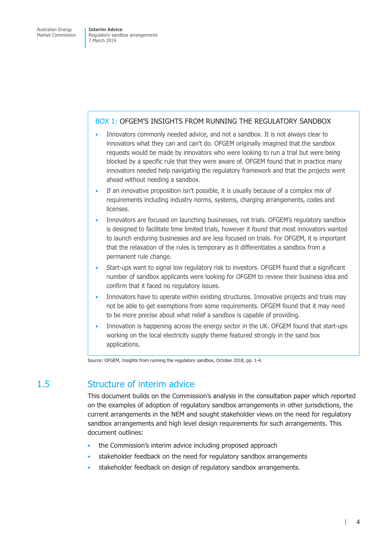#### <span id="page-9-0"></span>BOX 1: OFGEM'S INSIGHTS FROM RUNNING THE REGULATORY SANDBOX

- Innovators commonly needed advice, and not a sandbox. It is not always clear to innovators what they can and can't do. OFGEM originally imagined that the sandbox requests would be made by innovators who were looking to run a trial but were being blocked by a specific rule that they were aware of. OFGEM found that in practice many innovators needed help navigating the regulatory framework and that the projects went ahead without needing a sandbox.
- If an innovative proposition isn't possible, it is usually because of a complex mix of requirements including industry norms, systems, charging arrangements, codes and licenses.
- Innovators are focused on launching businesses, not trials. OFGEM's regulatory sandbox is designed to facilitate time limited trials, however it found that most innovators wanted to launch enduring businesses and are less focused on trials. For OFGEM, it is important that the relaxation of the rules is temporary as it differentiates a sandbox from a permanent rule change.
- Start-ups want to signal low regulatory risk to investors. OFGEM found that a significant number of sandbox applicants were looking for OFGEM to review their business idea and confirm that it faced no regulatory issues.
- Innovators have to operate within existing structures. Innovative projects and trials may not be able to get exemptions from some requirements. OFGEM found that it may need to be more precise about what relief a sandbox is capable of providing.
- Innovation is happening across the energy sector in the UK. OFGEM found that start-ups working on the local electricity supply theme featured strongly in the sand box applications.

Source: OFGEM, Insights from running the regulatory sandbox, October 2018, pp. 1-4.

## 1.5 Structure of interim advice

This document builds on the Commission's analysis in the consultation paper which reported on the examples of adoption of regulatory sandbox arrangements in other jurisdictions, the current arrangements in the NEM and sought stakeholder views on the need for regulatory sandbox arrangements and high level design requirements for such arrangements. This document outlines:

- the Commission's interim advice including proposed approach
- stakeholder feedback on the need for regulatory sandbox arrangements
- stakeholder feedback on design of regulatory sandbox arrangements.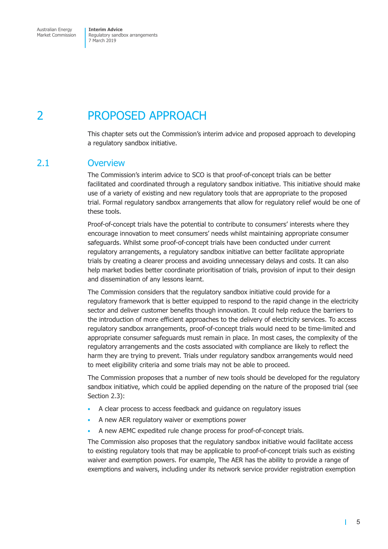<span id="page-10-0"></span>Australian Energy Market Commission **Interim Advice**  Regulatory sandbox arrangements 7 March 2019

## 2 PROPOSED APPROACH

This chapter sets out the Commission's interim advice and proposed approach to developing a regulatory sandbox initiative.

### 2.1 Overview

The Commission's interim advice to SCO is that proof-of-concept trials can be better facilitated and coordinated through a regulatory sandbox initiative. This initiative should make use of a variety of existing and new regulatory tools that are appropriate to the proposed trial. Formal regulatory sandbox arrangements that allow for regulatory relief would be one of these tools.

Proof-of-concept trials have the potential to contribute to consumers' interests where they encourage innovation to meet consumers' needs whilst maintaining appropriate consumer safeguards. Whilst some proof-of-concept trials have been conducted under current regulatory arrangements, a regulatory sandbox initiative can better facilitate appropriate trials by creating a clearer process and avoiding unnecessary delays and costs. It can also help market bodies better coordinate prioritisation of trials, provision of input to their design and dissemination of any lessons learnt.

The Commission considers that the regulatory sandbox initiative could provide for a regulatory framework that is better equipped to respond to the rapid change in the electricity sector and deliver customer benefits though innovation. It could help reduce the barriers to the introduction of more efficient approaches to the delivery of electricity services. To access regulatory sandbox arrangements, proof-of-concept trials would need to be time-limited and appropriate consumer safeguards must remain in place. In most cases, the complexity of the regulatory arrangements and the costs associated with compliance are likely to reflect the harm they are trying to prevent. Trials under regulatory sandbox arrangements would need to meet eligibility criteria and some trials may not be able to proceed.

The Commission proposes that a number of new tools should be developed for the regulatory sandbox initiative, which could be applied depending on the nature of the proposed trial (see Section 2.3):

- A clear process to access feedback and guidance on regulatory issues
- A new AER regulatory waiver or exemptions power
- A new AEMC expedited rule change process for proof-of-concept trials.

The Commission also proposes that the regulatory sandbox initiative would facilitate access to existing regulatory tools that may be applicable to proof-of-concept trials such as existing waiver and exemption powers. For example, The AER has the ability to provide a range of exemptions and waivers, including under its network service provider registration exemption

T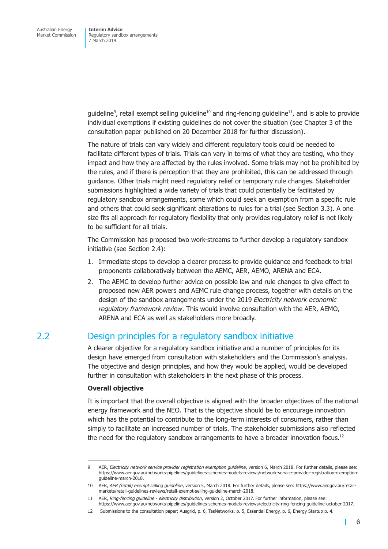<span id="page-11-0"></span>guideline<sup>9</sup>, retail exempt selling guideline<sup>10</sup> and ring-fencing guideline<sup>11</sup>, and is able to provide individual exemptions if existing guidelines do not cover the situation (see Chapter 3 of the consultation paper published on 20 December 2018 for further discussion).

The nature of trials can vary widely and different regulatory tools could be needed to facilitate different types of trials. Trials can vary in terms of what they are testing, who they impact and how they are affected by the rules involved. Some trials may not be prohibited by the rules, and if there is perception that they are prohibited, this can be addressed through guidance. Other trials might need regulatory relief or temporary rule changes. Stakeholder submissions highlighted a wide variety of trials that could potentially be facilitated by regulatory sandbox arrangements, some which could seek an exemption from a specific rule and others that could seek significant alterations to rules for a trial (see Section 3.3). A one size fits all approach for regulatory flexibility that only provides regulatory relief is not likely to be sufficient for all trials.

The Commission has proposed two work-streams to further develop a regulatory sandbox initiative (see Section 2.4):

- 1. Immediate steps to develop a clearer process to provide guidance and feedback to trial proponents collaboratively between the AEMC, AER, AEMO, ARENA and ECA.
- 2. The AEMC to develop further advice on possible law and rule changes to give effect to proposed new AER powers and AEMC rule change process, together with details on the design of the sandbox arrangements under the 2019 *Electricity network economic regulatory framework review*. This would involve consultation with the AER, AEMO, ARENA and ECA as well as stakeholders more broadly.

## 2.2 Design principles for a regulatory sandbox initiative

A clearer objective for a regulatory sandbox initiative and a number of principles for its design have emerged from consultation with stakeholders and the Commission's analysis. The objective and design principles, and how they would be applied, would be developed further in consultation with stakeholders in the next phase of this process.

#### **Overall objective**

It is important that the overall objective is aligned with the broader objectives of the national energy framework and the NEO. That is the objective should be to encourage innovation which has the potential to contribute to the long-term interests of consumers, rather than simply to facilitate an increased number of trials. The stakeholder submissions also reflected the need for the regulatory sandbox arrangements to have a broader innovation focus.<sup>12</sup>

Т

<sup>9</sup> AER, *Electricity network service provider registration exemption guideline*, version 6, March 2018. For further details, please see: https://www.aer.gov.au/networks-pipelines/guidelines-schemes-models-reviews/network-service-provider-registration-exemptionguideline-march-2018.

<sup>10</sup> AER, *AER (retail) exempt selling guideline*, version 5, March 2018. For further details, please see: https://www.aer.gov.au/retailmarkets/retail-guidelines-reviews/retail-exempt-selling-guideline-march-2018.

<sup>11</sup> AER, *Ring-fencing guideline - electricity distribution*, version 2, October 2017. For further information, please see: https://www.aer.gov.au/networks-pipelines/guidelines-schemes-models-reviews/electricity-ring-fencing-guideline-october-2017.

<sup>12</sup> Submissions to the consultation paper: Ausgrid, p. 6, TasNetworks, p. 5, Essential Energy, p. 6, Energy Startup p. 4.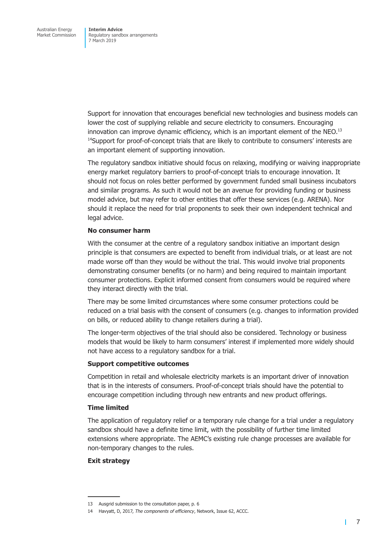Support for innovation that encourages beneficial new technologies and business models can lower the cost of supplying reliable and secure electricity to consumers. Encouraging innovation can improve dynamic efficiency, which is an important element of the NEO. $^{13}$  $14$ Support for proof-of-concept trials that are likely to contribute to consumers' interests are an important element of supporting innovation.

The regulatory sandbox initiative should focus on relaxing, modifying or waiving inappropriate energy market regulatory barriers to proof-of-concept trials to encourage innovation. It should not focus on roles better performed by government funded small business incubators and similar programs. As such it would not be an avenue for providing funding or business model advice, but may refer to other entities that offer these services (e.g. ARENA). Nor should it replace the need for trial proponents to seek their own independent technical and legal advice.

#### **No consumer harm**

With the consumer at the centre of a regulatory sandbox initiative an important design principle is that consumers are expected to benefit from individual trials, or at least are not made worse off than they would be without the trial. This would involve trial proponents demonstrating consumer benefits (or no harm) and being required to maintain important consumer protections. Explicit informed consent from consumers would be required where they interact directly with the trial.

There may be some limited circumstances where some consumer protections could be reduced on a trial basis with the consent of consumers (e.g. changes to information provided on bills, or reduced ability to change retailers during a trial).

The longer-term objectives of the trial should also be considered. Technology or business models that would be likely to harm consumers' interest if implemented more widely should not have access to a regulatory sandbox for a trial.

#### **Support competitive outcomes**

Competition in retail and wholesale electricity markets is an important driver of innovation that is in the interests of consumers. Proof-of-concept trials should have the potential to encourage competition including through new entrants and new product offerings.

#### **Time limited**

The application of regulatory relief or a temporary rule change for a trial under a regulatory sandbox should have a definite time limit, with the possibility of further time limited extensions where appropriate. The AEMC's existing rule change processes are available for non-temporary changes to the rules.

#### **Exit strategy**

т

<sup>13</sup> Ausgrid submission to the consultation paper, p. 6

<sup>14</sup> Havyatt, D, 2017, *The components of efficiency*, Network, Issue 62, ACCC.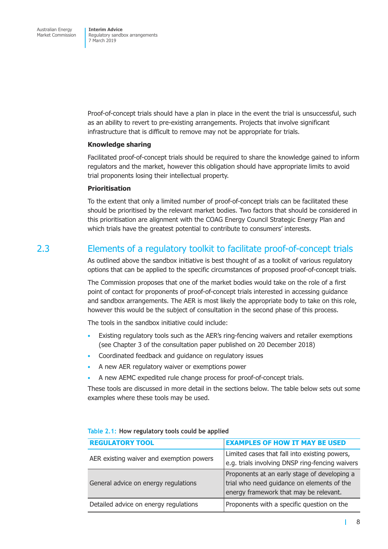<span id="page-13-0"></span>Proof-of-concept trials should have a plan in place in the event the trial is unsuccessful, such as an ability to revert to pre-existing arrangements. Projects that involve significant infrastructure that is difficult to remove may not be appropriate for trials.

#### **Knowledge sharing**

Facilitated proof-of-concept trials should be required to share the knowledge gained to inform regulators and the market, however this obligation should have appropriate limits to avoid trial proponents losing their intellectual property.

#### **Prioritisation**

To the extent that only a limited number of proof-of-concept trials can be facilitated these should be prioritised by the relevant market bodies. Two factors that should be considered in this prioritisation are alignment with the COAG Energy Council Strategic Energy Plan and which trials have the greatest potential to contribute to consumers' interests.

## 2.3 Elements of a regulatory toolkit to facilitate proof-of-concept trials

As outlined above the sandbox initiative is best thought of as a toolkit of various regulatory options that can be applied to the specific circumstances of proposed proof-of-concept trials.

The Commission proposes that one of the market bodies would take on the role of a first point of contact for proponents of proof-of-concept trials interested in accessing guidance and sandbox arrangements. The AER is most likely the appropriate body to take on this role, however this would be the subject of consultation in the second phase of this process.

The tools in the sandbox initiative could include:

- Existing regulatory tools such as the AER's ring-fencing waivers and retailer exemptions (see Chapter 3 of the consultation paper published on 20 December 2018)
- Coordinated feedback and guidance on regulatory issues
- A new AER regulatory waiver or exemptions power
- A new AEMC expedited rule change process for proof-of-concept trials.

These tools are discussed in more detail in the sections below. The table below sets out some examples where these tools may be used.

| <b>REGULATORY TOOL</b>                   | <b>EXAMPLES OF HOW IT MAY BE USED</b>                                                                                                |  |  |  |
|------------------------------------------|--------------------------------------------------------------------------------------------------------------------------------------|--|--|--|
| AER existing waiver and exemption powers | Limited cases that fall into existing powers,<br>e.g. trials involving DNSP ring-fencing waivers                                     |  |  |  |
| General advice on energy regulations     | Proponents at an early stage of developing a<br>trial who need guidance on elements of the<br>energy framework that may be relevant. |  |  |  |
| Detailed advice on energy regulations    | Proponents with a specific question on the                                                                                           |  |  |  |

|  |  |  |  |  |  |  |  |  | Table 2.1: How regulatory tools could be applied |
|--|--|--|--|--|--|--|--|--|--------------------------------------------------|
|--|--|--|--|--|--|--|--|--|--------------------------------------------------|

т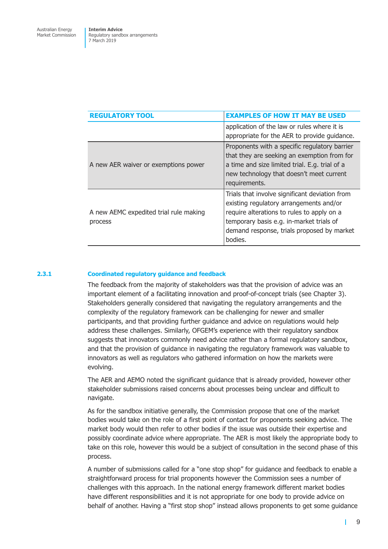| <b>REGULATORY TOOL</b>                            | <b>EXAMPLES OF HOW IT MAY BE USED</b>                                                                                                                                                                                                        |
|---------------------------------------------------|----------------------------------------------------------------------------------------------------------------------------------------------------------------------------------------------------------------------------------------------|
|                                                   | application of the law or rules where it is<br>appropriate for the AER to provide guidance.                                                                                                                                                  |
| A new AER waiver or exemptions power              | Proponents with a specific regulatory barrier<br>that they are seeking an exemption from for<br>a time and size limited trial. E.g. trial of a<br>new technology that doesn't meet current<br>requirements.                                  |
| A new AEMC expedited trial rule making<br>process | Trials that involve significant deviation from<br>existing regulatory arrangements and/or<br>require alterations to rules to apply on a<br>temporary basis e.g. in-market trials of<br>demand response, trials proposed by market<br>bodies. |

#### **2.3.1 Coordinated regulatory guidance and feedback**

The feedback from the majority of stakeholders was that the provision of advice was an important element of a facilitating innovation and proof-of-concept trials (see Chapter 3). Stakeholders generally considered that navigating the regulatory arrangements and the complexity of the regulatory framework can be challenging for newer and smaller participants, and that providing further guidance and advice on regulations would help address these challenges. Similarly, OFGEM's experience with their regulatory sandbox suggests that innovators commonly need advice rather than a formal regulatory sandbox, and that the provision of guidance in navigating the regulatory framework was valuable to innovators as well as regulators who gathered information on how the markets were evolving.

The AER and AEMO noted the significant guidance that is already provided, however other stakeholder submissions raised concerns about processes being unclear and difficult to navigate.

As for the sandbox initiative generally, the Commission propose that one of the market bodies would take on the role of a first point of contact for proponents seeking advice. The market body would then refer to other bodies if the issue was outside their expertise and possibly coordinate advice where appropriate. The AER is most likely the appropriate body to take on this role, however this would be a subject of consultation in the second phase of this process.

A number of submissions called for a "one stop shop" for guidance and feedback to enable a straightforward process for trial proponents however the Commission sees a number of challenges with this approach. In the national energy framework different market bodies have different responsibilities and it is not appropriate for one body to provide advice on behalf of another. Having a "first stop shop" instead allows proponents to get some guidance

т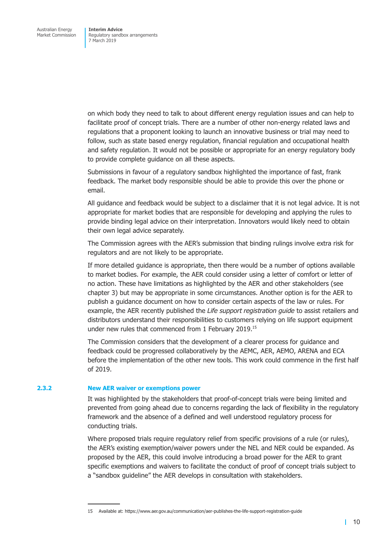on which body they need to talk to about different energy regulation issues and can help to facilitate proof of concept trials. There are a number of other non-energy related laws and regulations that a proponent looking to launch an innovative business or trial may need to follow, such as state based energy regulation, financial regulation and occupational health and safety regulation. It would not be possible or appropriate for an energy regulatory body to provide complete guidance on all these aspects.

Submissions in favour of a regulatory sandbox highlighted the importance of fast, frank feedback. The market body responsible should be able to provide this over the phone or email.

All guidance and feedback would be subject to a disclaimer that it is not legal advice. It is not appropriate for market bodies that are responsible for developing and applying the rules to provide binding legal advice on their interpretation. Innovators would likely need to obtain their own legal advice separately.

The Commission agrees with the AER's submission that binding rulings involve extra risk for regulators and are not likely to be appropriate.

If more detailed guidance is appropriate, then there would be a number of options available to market bodies. For example, the AER could consider using a letter of comfort or letter of no action. These have limitations as highlighted by the AER and other stakeholders (see chapter 3) but may be appropriate in some circumstances. Another option is for the AER to publish a guidance document on how to consider certain aspects of the law or rules. For example, the AER recently published the *Life support registration guide* to assist retailers and distributors understand their responsibilities to customers relying on life support equipment under new rules that commenced from 1 February 2019.15

The Commission considers that the development of a clearer process for guidance and feedback could be progressed collaboratively by the AEMC, AER, AEMO, ARENA and ECA before the implementation of the other new tools. This work could commence in the first half of 2019.

#### **2.3.2 New AER waiver or exemptions power**

It was highlighted by the stakeholders that proof-of-concept trials were being limited and prevented from going ahead due to concerns regarding the lack of flexibility in the regulatory framework and the absence of a defined and well understood regulatory process for conducting trials.

Where proposed trials require regulatory relief from specific provisions of a rule (or rules), the AER's existing exemption/waiver powers under the NEL and NER could be expanded. As proposed by the AER, this could involve introducing a broad power for the AER to grant specific exemptions and waivers to facilitate the conduct of proof of concept trials subject to a "sandbox guideline" the AER develops in consultation with stakeholders.

15 Available at: https://www.aer.gov.au/communication/aer-publishes-the-life-support-registration-guide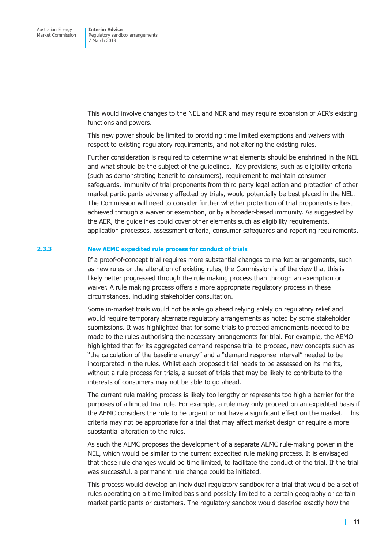This would involve changes to the NEL and NER and may require expansion of AER's existing functions and powers.

This new power should be limited to providing time limited exemptions and waivers with respect to existing regulatory requirements, and not altering the existing rules.

Further consideration is required to determine what elements should be enshrined in the NEL and what should be the subject of the guidelines. Key provisions, such as eligibility criteria (such as demonstrating benefit to consumers), requirement to maintain consumer safeguards, immunity of trial proponents from third party legal action and protection of other market participants adversely affected by trials, would potentially be best placed in the NEL. The Commission will need to consider further whether protection of trial proponents is best achieved through a waiver or exemption, or by a broader-based immunity. As suggested by the AER, the guidelines could cover other elements such as eligibility requirements, application processes, assessment criteria, consumer safeguards and reporting requirements.

#### **2.3.3 New AEMC expedited rule process for conduct of trials**

If a proof-of-concept trial requires more substantial changes to market arrangements, such as new rules or the alteration of existing rules, the Commission is of the view that this is likely better progressed through the rule making process than through an exemption or waiver. A rule making process offers a more appropriate regulatory process in these circumstances, including stakeholder consultation.

Some in-market trials would not be able go ahead relying solely on regulatory relief and would require temporary alternate regulatory arrangements as noted by some stakeholder submissions. It was highlighted that for some trials to proceed amendments needed to be made to the rules authorising the necessary arrangements for trial. For example, the AEMO highlighted that for its aggregated demand response trial to proceed, new concepts such as "the calculation of the baseline energy" and a "demand response interval" needed to be incorporated in the rules. Whilst each proposed trial needs to be assessed on its merits, without a rule process for trials, a subset of trials that may be likely to contribute to the interests of consumers may not be able to go ahead.

The current rule making process is likely too lengthy or represents too high a barrier for the purposes of a limited trial rule. For example, a rule may only proceed on an expedited basis if the AEMC considers the rule to be urgent or not have a significant effect on the market. This criteria may not be appropriate for a trial that may affect market design or require a more substantial alteration to the rules.

As such the AEMC proposes the development of a separate AEMC rule-making power in the NEL, which would be similar to the current expedited rule making process. It is envisaged that these rule changes would be time limited, to facilitate the conduct of the trial. If the trial was successful, a permanent rule change could be initiated.

This process would develop an individual regulatory sandbox for a trial that would be a set of rules operating on a time limited basis and possibly limited to a certain geography or certain market participants or customers. The regulatory sandbox would describe exactly how the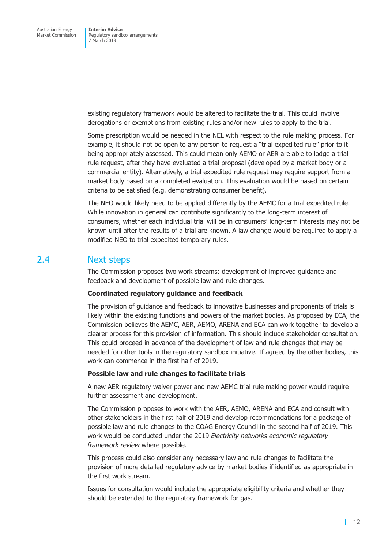<span id="page-17-0"></span>existing regulatory framework would be altered to facilitate the trial. This could involve derogations or exemptions from existing rules and/or new rules to apply to the trial.

Some prescription would be needed in the NEL with respect to the rule making process. For example, it should not be open to any person to request a "trial expedited rule" prior to it being appropriately assessed. This could mean only AEMO or AER are able to lodge a trial rule request, after they have evaluated a trial proposal (developed by a market body or a commercial entity). Alternatively, a trial expedited rule request may require support from a market body based on a completed evaluation. This evaluation would be based on certain criteria to be satisfied (e.g. demonstrating consumer benefit).

The NEO would likely need to be applied differently by the AEMC for a trial expedited rule. While innovation in general can contribute significantly to the long-term interest of consumers, whether each individual trial will be in consumers' long-term interests may not be known until after the results of a trial are known. A law change would be required to apply a modified NEO to trial expedited temporary rules.

### 2.4 Next steps

The Commission proposes two work streams: development of improved guidance and feedback and development of possible law and rule changes.

#### **Coordinated regulatory guidance and feedback**

The provision of guidance and feedback to innovative businesses and proponents of trials is likely within the existing functions and powers of the market bodies. As proposed by ECA, the Commission believes the AEMC, AER, AEMO, ARENA and ECA can work together to develop a clearer process for this provision of information. This should include stakeholder consultation. This could proceed in advance of the development of law and rule changes that may be needed for other tools in the regulatory sandbox initiative. If agreed by the other bodies, this work can commence in the first half of 2019.

#### **Possible law and rule changes to facilitate trials**

A new AER regulatory waiver power and new AEMC trial rule making power would require further assessment and development.

The Commission proposes to work with the AER, AEMO, ARENA and ECA and consult with other stakeholders in the first half of 2019 and develop recommendations for a package of possible law and rule changes to the COAG Energy Council in the second half of 2019. This work would be conducted under the 2019 *Electricity networks economic regulatory framework review* where possible.

This process could also consider any necessary law and rule changes to facilitate the provision of more detailed regulatory advice by market bodies if identified as appropriate in the first work stream.

Issues for consultation would include the appropriate eligibility criteria and whether they should be extended to the regulatory framework for gas.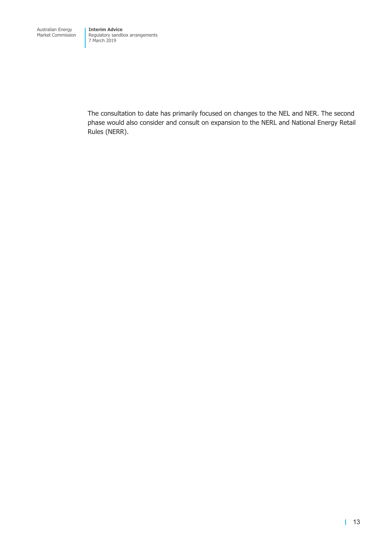The consultation to date has primarily focused on changes to the NEL and NER. The second phase would also consider and consult on expansion to the NERL and National Energy Retail Rules (NERR).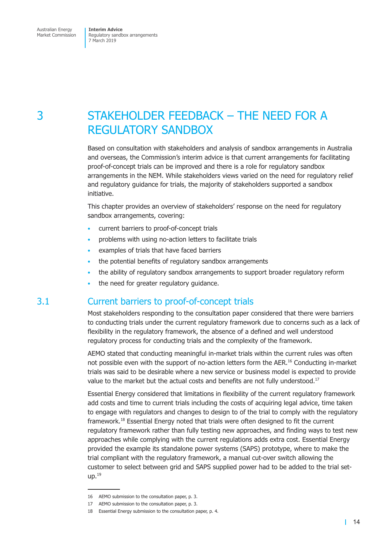## <span id="page-19-0"></span>3 STAKEHOLDER FEEDBACK – THE NEED FOR A REGULATORY SANDBOX

Based on consultation with stakeholders and analysis of sandbox arrangements in Australia and overseas, the Commission's interim advice is that current arrangements for facilitating proof-of-concept trials can be improved and there is a role for regulatory sandbox arrangements in the NEM. While stakeholders views varied on the need for regulatory relief and regulatory guidance for trials, the majority of stakeholders supported a sandbox initiative.

This chapter provides an overview of stakeholders' response on the need for regulatory sandbox arrangements, covering:

- current barriers to proof-of-concept trials
- problems with using no-action letters to facilitate trials
- examples of trials that have faced barriers
- the potential benefits of regulatory sandbox arrangements
- the ability of regulatory sandbox arrangements to support broader regulatory reform
- the need for greater regulatory guidance.

## 3.1 Current barriers to proof-of-concept trials

Most stakeholders responding to the consultation paper considered that there were barriers to conducting trials under the current regulatory framework due to concerns such as a lack of flexibility in the regulatory framework, the absence of a defined and well understood regulatory process for conducting trials and the complexity of the framework.

AEMO stated that conducting meaningful in-market trials within the current rules was often not possible even with the support of no-action letters form the AER.<sup>16</sup> Conducting in-market trials was said to be desirable where a new service or business model is expected to provide value to the market but the actual costs and benefits are not fully understood.<sup>17</sup>

Essential Energy considered that limitations in flexibility of the current regulatory framework add costs and time to current trials including the costs of acquiring legal advice, time taken to engage with regulators and changes to design to of the trial to comply with the regulatory framework.18 Essential Energy noted that trials were often designed to fit the current regulatory framework rather than fully testing new approaches, and finding ways to test new approaches while complying with the current regulations adds extra cost. Essential Energy provided the example its standalone power systems (SAPS) prototype, where to make the trial compliant with the regulatory framework, a manual cut-over switch allowing the customer to select between grid and SAPS supplied power had to be added to the trial set $up.<sup>19</sup>$ 

<sup>16</sup> AEMO submission to the consultation paper, p. 3.

<sup>17</sup> AEMO submission to the consultation paper, p. 3.

<sup>18</sup> Essential Energy submission to the consultation paper, p. 4.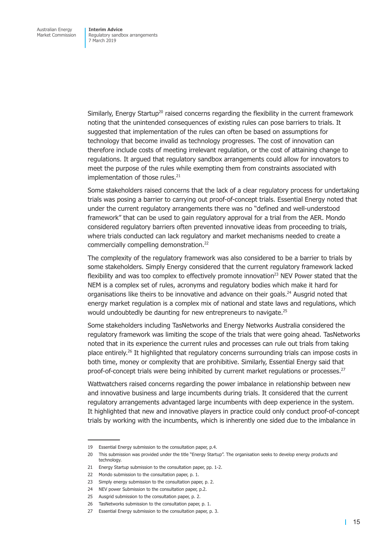Similarly, Energy Startup<sup>20</sup> raised concerns regarding the flexibility in the current framework noting that the unintended consequences of existing rules can pose barriers to trials. It suggested that implementation of the rules can often be based on assumptions for technology that become invalid as technology progresses. The cost of innovation can therefore include costs of meeting irrelevant regulation, or the cost of attaining change to regulations. It argued that regulatory sandbox arrangements could allow for innovators to meet the purpose of the rules while exempting them from constraints associated with implementation of those rules.<sup>21</sup>

Some stakeholders raised concerns that the lack of a clear regulatory process for undertaking trials was posing a barrier to carrying out proof-of-concept trials. Essential Energy noted that under the current regulatory arrangements there was no "defined and well-understood framework" that can be used to gain regulatory approval for a trial from the AER. Mondo considered regulatory barriers often prevented innovative ideas from proceeding to trials, where trials conducted can lack regulatory and market mechanisms needed to create a commercially compelling demonstration.<sup>22</sup>

The complexity of the regulatory framework was also considered to be a barrier to trials by some stakeholders. Simply Energy considered that the current regulatory framework lacked flexibility and was too complex to effectively promote innovation<sup>23</sup> NEV Power stated that the NEM is a complex set of rules, acronyms and regulatory bodies which make it hard for organisations like theirs to be innovative and advance on their goals.<sup>24</sup> Ausgrid noted that energy market regulation is a complex mix of national and state laws and regulations, which would undoubtedly be daunting for new entrepreneurs to navigate.<sup>25</sup>

Some stakeholders including TasNetworks and Energy Networks Australia considered the regulatory framework was limiting the scope of the trials that were going ahead. TasNetworks noted that in its experience the current rules and processes can rule out trials from taking place entirely.<sup>26</sup> It highlighted that regulatory concerns surrounding trials can impose costs in both time, money or complexity that are prohibitive. Similarly, Essential Energy said that proof-of-concept trials were being inhibited by current market regulations or processes.<sup>27</sup>

Wattwatchers raised concerns regarding the power imbalance in relationship between new and innovative business and large incumbents during trials. It considered that the current regulatory arrangements advantaged large incumbents with deep experience in the system. It highlighted that new and innovative players in practice could only conduct proof-of-concept trials by working with the incumbents, which is inherently one sided due to the imbalance in

<sup>19</sup> Essential Energy submission to the consultation paper, p.4.

<sup>20</sup> This submission was provided under the title "Energy Startup". The organisation seeks to develop energy products and technology.

<sup>21</sup> Energy Startup submission to the consultation paper, pp. 1-2.

<sup>22</sup> Mondo submission to the consultation paper, p. 1.

<sup>23</sup> Simply energy submission to the consultation paper, p. 2.

<sup>24</sup> NEV power Submission to the consultation paper, p.2.

<sup>25</sup> Ausgrid submission to the consultation paper, p. 2.

<sup>26</sup> TasNetworks submission to the consultation paper, p. 1.

<sup>27</sup> Essential Energy submission to the consultation paper, p. 3.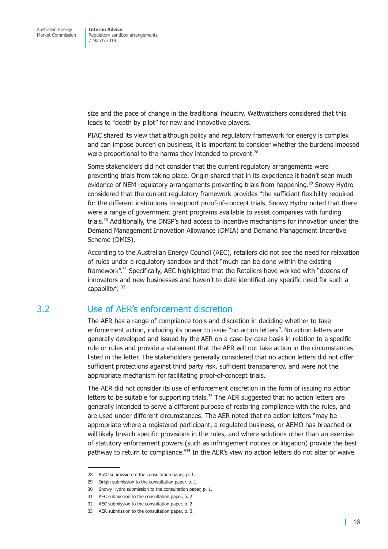<span id="page-21-0"></span>size and the pace of change in the traditional industry. Wattwatchers considered that this leads to "death by pilot" for new and innovative players.

PIAC shared its view that although policy and regulatory framework for energy is complex and can impose burden on business, it is important to consider whether the burdens imposed were proportional to the harms they intended to prevent.<sup>28</sup>

Some stakeholders did not consider that the current regulatory arrangements were preventing trials from taking place. Origin shared that in its experience it hadn't seen much evidence of NEM regulatory arrangements preventing trials from happening.<sup>29</sup> Snowy Hydro considered that the current regulatory framework provides "the sufficient flexibility required for the different institutions to support proof-of-concept trials. Snowy Hydro noted that there were a range of government grant programs available to assist companies with funding trials.<sup>30</sup> Additionally, the DNSP's had access to incentive mechanisms for innovation under the Demand Management Innovation Allowance (DMIA) and Demand Management Incentive Scheme (DMIS).

According to the Australian Energy Council (AEC), retailers did not see the need for relaxation of rules under a regulatory sandbox and that "much can be done within the existing framework".<sup>31</sup> Specifically, AEC highlighted that the Retailers have worked with "dozens of innovators and new businesses and haven't to date identified any specific need for such a capability". 32

## 3.2 Use of AER's enforcement discretion

The AER has a range of compliance tools and discretion in deciding whether to take enforcement action, including its power to issue "no action letters". No action letters are generally developed and issued by the AER on a case-by-case basis in relation to a specific rule or rules and provide a statement that the AER will not take action in the circumstances listed in the letter. The stakeholders generally considered that no action letters did not offer sufficient protections against third party risk, sufficient transparency, and were not the appropriate mechanism for facilitating proof-of-concept trials.

The AER did not consider its use of enforcement discretion in the form of issuing no action letters to be suitable for supporting trials. $33$  The AER suggested that no action letters are generally intended to serve a different purpose of restoring compliance with the rules, and are used under different circumstances. The AER noted that no action letters "may be appropriate where a registered participant, a regulated business, or AEMO has breached or will likely breach specific provisions in the rules, and where solutions other than an exercise of statutory enforcement powers (such as infringement notices or litigation) provide the best pathway to return to compliance.<sup>"34</sup> In the AER's view no action letters do not alter or waive

<sup>28</sup> PIAC submission to the consultation paper, p. 1.

<sup>29</sup> Origin submission to the consultation paper, p. 1.

<sup>30</sup> Snowy Hydro submission to the consultation paper, p. 1.

<sup>31</sup> AEC submission to the consultation paper, p. 2.

<sup>32</sup> AEC submission to the consultation paper, p. 2.

<sup>33</sup> AER submission to the consultation paper, p. 3.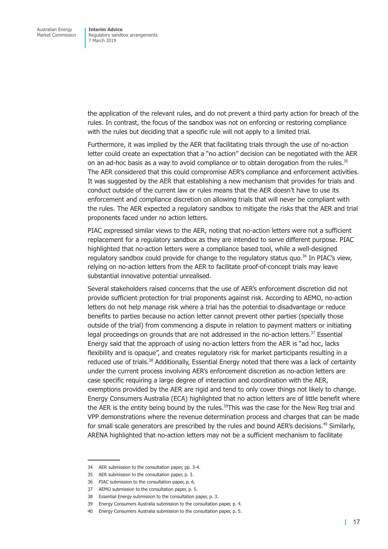the application of the relevant rules, and do not prevent a third party action for breach of the rules. In contrast, the focus of the sandbox was not on enforcing or restoring compliance with the rules but deciding that a specific rule will not apply to a limited trial.

Furthermore, it was implied by the AER that facilitating trials through the use of no-action letter could create an expectation that a "no action" decision can be negotiated with the AER on an ad-hoc basis as a way to avoid compliance or to obtain derogation from the rules.<sup>35</sup> The AER considered that this could compromise AER's compliance and enforcement activities. It was suggested by the AER that establishing a new mechanism that provides for trials and conduct outside of the current law or rules means that the AER doesn't have to use its enforcement and compliance discretion on allowing trials that will never be compliant with the rules. The AER expected a regulatory sandbox to mitigate the risks that the AER and trial proponents faced under no action letters.

PIAC expressed similar views to the AER, noting that no-action letters were not a sufficient replacement for a regulatory sandbox as they are intended to serve different purpose. PIAC highlighted that no-action letters were a compliance based tool, while a well-designed regulatory sandbox could provide for change to the regulatory status quo. $36$  In PIAC's view, relying on no-action letters from the AER to facilitate proof-of-concept trials may leave substantial innovative potential unrealised.

Several stakeholders raised concerns that the use of AER's enforcement discretion did not provide sufficient protection for trial proponents against risk. According to AEMO, no-action letters do not help manage risk where a trial has the potential to disadvantage or reduce benefits to parties because no action letter cannot prevent other parties (specially those outside of the trial) from commencing a dispute in relation to payment matters or initiating legal proceedings on grounds that are not addressed in the no-action letters.<sup>37</sup> Essential Energy said that the approach of using no-action letters from the AER is "ad hoc, lacks flexibility and is opaque", and creates regulatory risk for market participants resulting in a reduced use of trials.<sup>38</sup> Additionally, Essential Energy noted that there was a lack of certainty under the current process involving AER's enforcement discretion as no-action letters are case specific requiring a large degree of interaction and coordination with the AER, exemptions provided by the AER are rigid and tend to only cover things not likely to change. Energy Consumers Australia (ECA) highlighted that no action letters are of little benefit where the AER is the entity being bound by the rules.<sup>39</sup>This was the case for the New Reg trial and VPP demonstrations where the revenue determination process and charges that can be made for small scale generators are prescribed by the rules and bound AER's decisions.<sup>40</sup> Similarly, ARENA highlighted that no-action letters may not be a sufficient mechanism to facilitate

<sup>34</sup> AER submission to the consultation paper, pp. 3-4.

<sup>35</sup> AER submission to the consultation paper, p. 3.

<sup>36</sup> PIAC submission to the consultation paper, p. 6.

<sup>37</sup> AEMO submission to the consultation paper, p. 5.

<sup>38</sup> Essential Energy submission to the consultation paper, p. 3.

<sup>39</sup> Energy Consumers Australia submission to the consultation paper, p. 4.

<sup>40</sup> Energy Consumers Australia submission to the consultation paper, p. 5.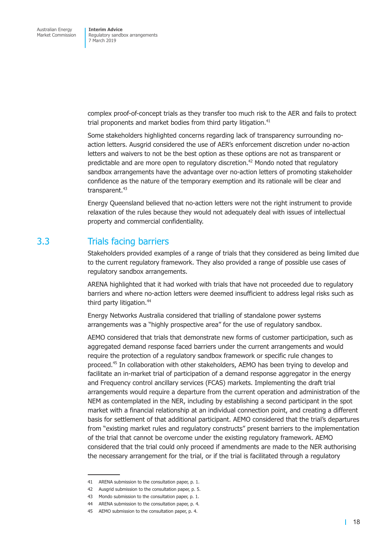<span id="page-23-0"></span>complex proof-of-concept trials as they transfer too much risk to the AER and fails to protect trial proponents and market bodies from third party litigation.<sup>41</sup>

Some stakeholders highlighted concerns regarding lack of transparency surrounding noaction letters. Ausgrid considered the use of AER's enforcement discretion under no-action letters and waivers to not be the best option as these options are not as transparent or predictable and are more open to regulatory discretion.<sup>42</sup> Mondo noted that regulatory sandbox arrangements have the advantage over no-action letters of promoting stakeholder confidence as the nature of the temporary exemption and its rationale will be clear and transparent. $43$ 

Energy Queensland believed that no-action letters were not the right instrument to provide relaxation of the rules because they would not adequately deal with issues of intellectual property and commercial confidentiality.

## 3.3 Trials facing barriers

Stakeholders provided examples of a range of trials that they considered as being limited due to the current regulatory framework. They also provided a range of possible use cases of regulatory sandbox arrangements.

ARENA highlighted that it had worked with trials that have not proceeded due to regulatory barriers and where no-action letters were deemed insufficient to address legal risks such as third party litigation.<sup>44</sup>

Energy Networks Australia considered that trialling of standalone power systems arrangements was a "highly prospective area" for the use of regulatory sandbox.

AEMO considered that trials that demonstrate new forms of customer participation, such as aggregated demand response faced barriers under the current arrangements and would require the protection of a regulatory sandbox framework or specific rule changes to proceed.45 In collaboration with other stakeholders, AEMO has been trying to develop and facilitate an in-market trial of participation of a demand response aggregator in the energy and Frequency control ancillary services (FCAS) markets. Implementing the draft trial arrangements would require a departure from the current operation and administration of the NEM as contemplated in the NER, including by establishing a second participant in the spot market with a financial relationship at an individual connection point, and creating a different basis for settlement of that additional participant. AEMO considered that the trial's departures from "existing market rules and regulatory constructs" present barriers to the implementation of the trial that cannot be overcome under the existing regulatory framework. AEMO considered that the trial could only proceed if amendments are made to the NER authorising the necessary arrangement for the trial, or if the trial is facilitated through a regulatory

<sup>41</sup> ARENA submission to the consultation paper, p. 1.

<sup>42</sup> Ausgrid submission to the consultation paper, p. 5.

<sup>43</sup> Mondo submission to the consultation paper, p. 1.

<sup>44</sup> ARENA submission to the consultation paper, p. 4.

<sup>45</sup> AEMO submission to the consultation paper, p. 4.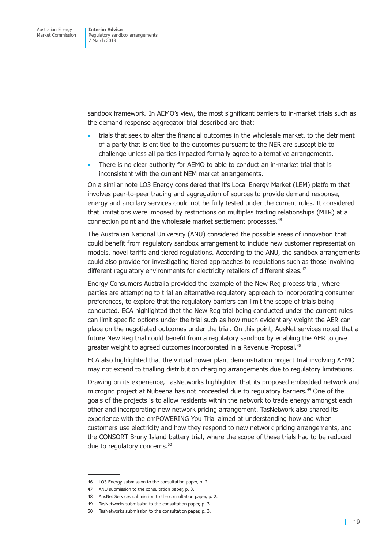sandbox framework. In AEMO's view, the most significant barriers to in-market trials such as the demand response aggregator trial described are that:

- trials that seek to alter the financial outcomes in the wholesale market, to the detriment of a party that is entitled to the outcomes pursuant to the NER are susceptible to challenge unless all parties impacted formally agree to alternative arrangements.
- There is no clear authority for AEMO to able to conduct an in-market trial that is inconsistent with the current NEM market arrangements.

On a similar note LO3 Energy considered that it's Local Energy Market (LEM) platform that involves peer-to-peer trading and aggregation of sources to provide demand response, energy and ancillary services could not be fully tested under the current rules. It considered that limitations were imposed by restrictions on multiples trading relationships (MTR) at a connection point and the wholesale market settlement processes.<sup>46</sup>

The Australian National University (ANU) considered the possible areas of innovation that could benefit from regulatory sandbox arrangement to include new customer representation models, novel tariffs and tiered regulations. According to the ANU, the sandbox arrangements could also provide for investigating tiered approaches to regulations such as those involving different regulatory environments for electricity retailers of different sizes.<sup>47</sup>

Energy Consumers Australia provided the example of the New Reg process trial, where parties are attempting to trial an alternative regulatory approach to incorporating consumer preferences, to explore that the regulatory barriers can limit the scope of trials being conducted. ECA highlighted that the New Reg trial being conducted under the current rules can limit specific options under the trial such as how much evidentiary weight the AER can place on the negotiated outcomes under the trial. On this point, AusNet services noted that a future New Reg trial could benefit from a regulatory sandbox by enabling the AER to give greater weight to agreed outcomes incorporated in a Revenue Proposal.<sup>48</sup>

ECA also highlighted that the virtual power plant demonstration project trial involving AEMO may not extend to trialling distribution charging arrangements due to regulatory limitations.

Drawing on its experience, TasNetworks highlighted that its proposed embedded network and microgrid project at Nubeena has not proceeded due to regulatory barriers.<sup>49</sup> One of the goals of the projects is to allow residents within the network to trade energy amongst each other and incorporating new network pricing arrangement. TasNetwork also shared its experience with the emPOWERING You Trial aimed at understanding how and when customers use electricity and how they respond to new network pricing arrangements, and the CONSORT Bruny Island battery trial, where the scope of these trials had to be reduced due to regulatory concerns.<sup>50</sup>

<sup>46</sup> LO3 Energy submission to the consultation paper, p. 2.

<sup>47</sup> ANU submission to the consultation paper, p. 3.

<sup>48</sup> AusNet Services submission to the consultation paper, p. 2.

<sup>49</sup> TasNetworks submission to the consultation paper, p. 3.

<sup>50</sup> TasNetworks submission to the consultation paper, p. 3.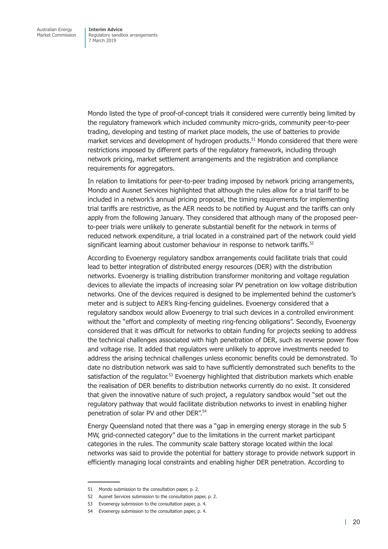Mondo listed the type of proof-of-concept trials it considered were currently being limited by the regulatory framework which included community micro-grids, community peer-to-peer trading, developing and testing of market place models, the use of batteries to provide market services and development of hydrogen products.<sup>51</sup> Mondo considered that there were restrictions imposed by different parts of the regulatory framework, including through network pricing, market settlement arrangements and the registration and compliance requirements for aggregators.

In relation to limitations for peer-to-peer trading imposed by network pricing arrangements, Mondo and Ausnet Services highlighted that although the rules allow for a trial tariff to be included in a network's annual pricing proposal, the timing requirements for implementing trial tariffs are restrictive, as the AER needs to be notified by August and the tariffs can only apply from the following January. They considered that although many of the proposed peerto-peer trials were unlikely to generate substantial benefit for the network in terms of reduced network expenditure, a trial located in a constrained part of the network could yield significant learning about customer behaviour in response to network tariffs.<sup>52</sup>

According to Evoenergy regulatory sandbox arrangements could facilitate trials that could lead to better integration of distributed energy resources (DER) with the distribution networks. Evoenergy is trialling distribution transformer monitoring and voltage regulation devices to alleviate the impacts of increasing solar PV penetration on low voltage distribution networks. One of the devices required is designed to be implemented behind the customer's meter and is subject to AER's Ring-fencing guidelines. Evoenergy considered that a regulatory sandbox would allow Evoenergy to trial such devices in a controlled environment without the "effort and complexity of meeting ring-fencing obligations". Secondly, Evoenergy considered that it was difficult for networks to obtain funding for projects seeking to address the technical challenges associated with high penetration of DER, such as reverse power flow and voltage rise. It added that regulators were unlikely to approve investments needed to address the arising technical challenges unless economic benefits could be demonstrated. To date no distribution network was said to have sufficiently demonstrated such benefits to the satisfaction of the regulator.<sup>53</sup> Evoenergy highlighted that distribution markets which enable the realisation of DER benefits to distribution networks currently do no exist. It considered that given the innovative nature of such project, a regulatory sandbox would "set out the regulatory pathway that would facilitate distribution networks to invest in enabling higher penetration of solar PV and other DER".<sup>54</sup>

Energy Queensland noted that there was a "gap in emerging energy storage in the sub 5 MW, grid-connected category" due to the limitations in the current market participant categories in the rules. The community scale battery storage located within the local networks was said to provide the potential for battery storage to provide network support in efficiently managing local constraints and enabling higher DER penetration. According to

<sup>51</sup> Mondo submission to the consultation paper, p. 2.

<sup>52</sup> Ausnet Services submission to the consultation paper, p. 2.

<sup>53</sup> Evoenergy submission to the consultation paper, p. 4.

<sup>54</sup> Evoenergy submission to the consultation paper, p. 4.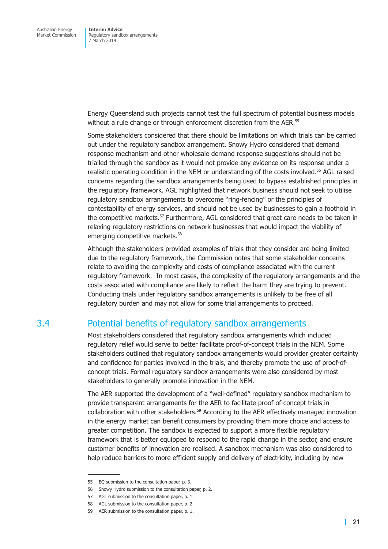<span id="page-26-0"></span>Energy Queensland such projects cannot test the full spectrum of potential business models without a rule change or through enforcement discretion from the AER.<sup>55</sup>

Some stakeholders considered that there should be limitations on which trials can be carried out under the regulatory sandbox arrangement. Snowy Hydro considered that demand response mechanism and other wholesale demand response suggestions should not be trialled through the sandbox as it would not provide any evidence on its response under a realistic operating condition in the NEM or understanding of the costs involved.<sup>56</sup> AGL raised concerns regarding the sandbox arrangements being used to bypass established principles in the regulatory framework. AGL highlighted that network business should not seek to utilise regulatory sandbox arrangements to overcome "ring-fencing" or the principles of contestability of energy services, and should not be used by businesses to gain a foothold in the competitive markets.<sup>57</sup> Furthermore, AGL considered that great care needs to be taken in relaxing regulatory restrictions on network businesses that would impact the viability of emerging competitive markets.<sup>58</sup>

Although the stakeholders provided examples of trials that they consider are being limited due to the regulatory framework, the Commission notes that some stakeholder concerns relate to avoiding the complexity and costs of compliance associated with the current regulatory framework. In most cases, the complexity of the regulatory arrangements and the costs associated with compliance are likely to reflect the harm they are trying to prevent. Conducting trials under regulatory sandbox arrangements is unlikely to be free of all regulatory burden and may not allow for some trial arrangements to proceed.

## 3.4 Potential benefits of regulatory sandbox arrangements

Most stakeholders considered that regulatory sandbox arrangements which included regulatory relief would serve to better facilitate proof-of-concept trials in the NEM. Some stakeholders outlined that regulatory sandbox arrangements would provider greater certainty and confidence for parties involved in the trials, and thereby promote the use of proof-ofconcept trials. Formal regulatory sandbox arrangements were also considered by most stakeholders to generally promote innovation in the NEM.

The AER supported the development of a "well-defined" regulatory sandbox mechanism to provide transparent arrangements for the AER to facilitate proof-of-concept trials in collaboration with other stakeholders.<sup>59</sup> According to the AER effectively managed innovation in the energy market can benefit consumers by providing them more choice and access to greater competition. The sandbox is expected to support a more flexible regulatory framework that is better equipped to respond to the rapid change in the sector, and ensure customer benefits of innovation are realised. A sandbox mechanism was also considered to help reduce barriers to more efficient supply and delivery of electricity, including by new

<sup>55</sup> EQ submission to the consultation paper, p. 3.

<sup>56</sup> Snowy Hydro submission to the consultation paper, p. 2.

<sup>57</sup> AGL submission to the consultation paper, p. 1.

<sup>58</sup> AGL submission to the consultation paper, p. 2.

<sup>59</sup> AER submission to the consultation paper, p. 1.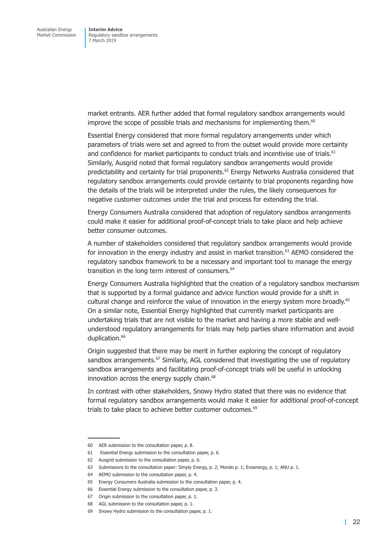market entrants. AER further added that formal regulatory sandbox arrangements would improve the scope of possible trials and mechanisms for implementing them.<sup>60</sup>

Essential Energy considered that more formal regulatory arrangements under which parameters of trials were set and agreed to from the outset would provide more certainty and confidence for market participants to conduct trials and incentivise use of trials.<sup>61</sup> Similarly, Ausgrid noted that formal regulatory sandbox arrangements would provide predictability and certainty for trial proponents.<sup>62</sup> Energy Networks Australia considered that regulatory sandbox arrangements could provide certainty to trial proponents regarding how the details of the trials will be interpreted under the rules, the likely consequences for negative customer outcomes under the trial and process for extending the trial.

Energy Consumers Australia considered that adoption of regulatory sandbox arrangements could make it easier for additional proof-of-concept trials to take place and help achieve better consumer outcomes.

A number of stakeholders considered that regulatory sandbox arrangements would provide for innovation in the energy industry and assist in market transition.<sup>63</sup> AEMO considered the regulatory sandbox framework to be a necessary and important tool to manage the energy transition in the long term interest of consumers.<sup>64</sup>

Energy Consumers Australia highlighted that the creation of a regulatory sandbox mechanism that is supported by a formal guidance and advice function would provide for a shift in cultural change and reinforce the value of innovation in the energy system more broadly.<sup>65</sup> On a similar note, Essential Energy highlighted that currently market participants are undertaking trials that are not visible to the market and having a more stable and wellunderstood regulatory arrangements for trials may help parties share information and avoid duplication.<sup>66</sup>

Origin suggested that there may be merit in further exploring the concept of regulatory sandbox arrangements.<sup>67</sup> Similarly, AGL considered that investigating the use of regulatory sandbox arrangements and facilitating proof-of-concept trials will be useful in unlocking innovation across the energy supply chain.<sup>68</sup>

In contrast with other stakeholders, Snowy Hydro stated that there was no evidence that formal regulatory sandbox arrangements would make it easier for additional proof-of-concept trials to take place to achieve better customer outcomes.<sup>69</sup>

<sup>60</sup> AER submission to the consultation paper, p. 8.

<sup>61</sup> Essential Energy submission to the consultation paper, p. 6.

<sup>62</sup> Ausgrid submission to the consultation paper, p. 6.

<sup>63</sup> Submissions to the consultation paper: Simply Energy, p. 2; Mondo p. 1; Evoenergy, p. 1; ANU p. 1.

<sup>64</sup> AEMO submission to the consultation paper, p. 4.

<sup>65</sup> Energy Consumers Australia submission to the consultation paper, p. 4.

<sup>66</sup> Essential Energy submission to the consultation paper, p. 3.

<sup>67</sup> Origin submission to the consultation paper, p. 1.

<sup>68</sup> AGL submission to the consultation paper, p. 1.

<sup>69</sup> Snowy Hydro submission to the consultation paper, p. 1.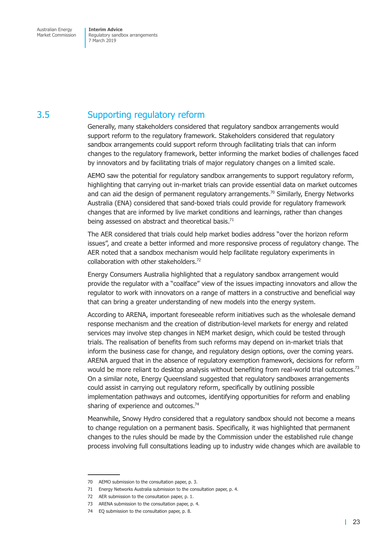## <span id="page-28-0"></span>3.5 Supporting regulatory reform

Generally, many stakeholders considered that regulatory sandbox arrangements would support reform to the regulatory framework. Stakeholders considered that regulatory sandbox arrangements could support reform through facilitating trials that can inform changes to the regulatory framework, better informing the market bodies of challenges faced by innovators and by facilitating trials of major regulatory changes on a limited scale.

AEMO saw the potential for regulatory sandbox arrangements to support regulatory reform, highlighting that carrying out in-market trials can provide essential data on market outcomes and can aid the design of permanent regulatory arrangements.<sup>70</sup> Similarly, Energy Networks Australia (ENA) considered that sand-boxed trials could provide for regulatory framework changes that are informed by live market conditions and learnings, rather than changes being assessed on abstract and theoretical basis.<sup>71</sup>

The AER considered that trials could help market bodies address "over the horizon reform issues", and create a better informed and more responsive process of regulatory change. The AER noted that a sandbox mechanism would help facilitate regulatory experiments in collaboration with other stakeholders.72

Energy Consumers Australia highlighted that a regulatory sandbox arrangement would provide the regulator with a "coalface" view of the issues impacting innovators and allow the regulator to work with innovators on a range of matters in a constructive and beneficial way that can bring a greater understanding of new models into the energy system.

According to ARENA, important foreseeable reform initiatives such as the wholesale demand response mechanism and the creation of distribution-level markets for energy and related services may involve step changes in NEM market design, which could be tested through trials. The realisation of benefits from such reforms may depend on in-market trials that inform the business case for change, and regulatory design options, over the coming years. ARENA argued that in the absence of regulatory exemption framework, decisions for reform would be more reliant to desktop analysis without benefiting from real-world trial outcomes.<sup>73</sup> On a similar note, Energy Queensland suggested that regulatory sandboxes arrangements could assist in carrying out regulatory reform, specifically by outlining possible implementation pathways and outcomes, identifying opportunities for reform and enabling sharing of experience and outcomes. $74$ 

Meanwhile, Snowy Hydro considered that a regulatory sandbox should not become a means to change regulation on a permanent basis. Specifically, it was highlighted that permanent changes to the rules should be made by the Commission under the established rule change process involving full consultations leading up to industry wide changes which are available to

<sup>70</sup> AEMO submission to the consultation paper, p. 3.

<sup>71</sup> Energy Networks Australia submission to the consultation paper, p. 4.

<sup>72</sup> AER submission to the consultation paper, p. 1.

<sup>73</sup> ARENA submission to the consultation paper, p. 4.

<sup>74</sup> EQ submission to the consultation paper, p. 8.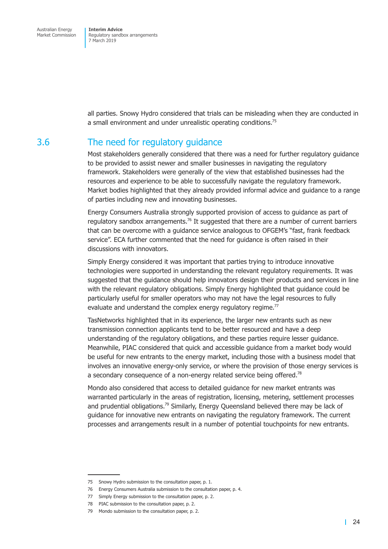<span id="page-29-0"></span>all parties. Snowy Hydro considered that trials can be misleading when they are conducted in a small environment and under unrealistic operating conditions.<sup>75</sup>

### 3.6 The need for regulatory guidance

Most stakeholders generally considered that there was a need for further regulatory guidance to be provided to assist newer and smaller businesses in navigating the regulatory framework. Stakeholders were generally of the view that established businesses had the resources and experience to be able to successfully navigate the regulatory framework. Market bodies highlighted that they already provided informal advice and guidance to a range of parties including new and innovating businesses.

Energy Consumers Australia strongly supported provision of access to guidance as part of regulatory sandbox arrangements.<sup>76</sup> It suggested that there are a number of current barriers that can be overcome with a guidance service analogous to OFGEM's "fast, frank feedback service". ECA further commented that the need for guidance is often raised in their discussions with innovators.

Simply Energy considered it was important that parties trying to introduce innovative technologies were supported in understanding the relevant regulatory requirements. It was suggested that the guidance should help innovators design their products and services in line with the relevant regulatory obligations. Simply Energy highlighted that guidance could be particularly useful for smaller operators who may not have the legal resources to fully evaluate and understand the complex energy regulatory regime.<sup>77</sup>

TasNetworks highlighted that in its experience, the larger new entrants such as new transmission connection applicants tend to be better resourced and have a deep understanding of the regulatory obligations, and these parties require lesser guidance. Meanwhile, PIAC considered that quick and accessible guidance from a market body would be useful for new entrants to the energy market, including those with a business model that involves an innovative energy-only service, or where the provision of those energy services is a secondary consequence of a non-energy related service being offered.<sup>78</sup>

Mondo also considered that access to detailed guidance for new market entrants was warranted particularly in the areas of registration, licensing, metering, settlement processes and prudential obligations.<sup>79</sup> Similarly, Energy Queensland believed there may be lack of guidance for innovative new entrants on navigating the regulatory framework. The current processes and arrangements result in a number of potential touchpoints for new entrants.

<sup>75</sup> Snowy Hydro submission to the consultation paper, p. 1.

<sup>76</sup> Energy Consumers Australia submission to the consultation paper, p. 4.

<sup>77</sup> Simply Energy submission to the consultation paper, p. 2.

<sup>78</sup> PIAC submission to the consultation paper, p. 2.

<sup>79</sup> Mondo submission to the consultation paper, p. 2.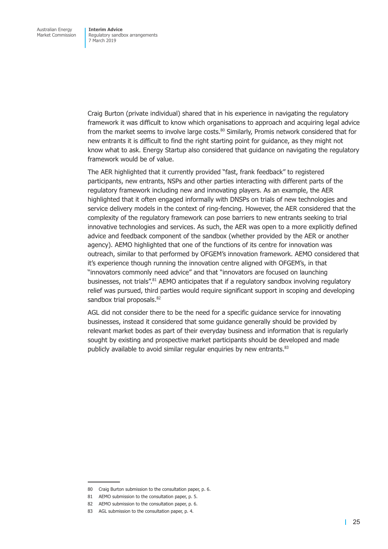Craig Burton (private individual) shared that in his experience in navigating the regulatory framework it was difficult to know which organisations to approach and acquiring legal advice from the market seems to involve large costs.<sup>80</sup> Similarly, Promis network considered that for new entrants it is difficult to find the right starting point for guidance, as they might not know what to ask. Energy Startup also considered that guidance on navigating the regulatory framework would be of value.

The AER highlighted that it currently provided "fast, frank feedback" to registered participants, new entrants, NSPs and other parties interacting with different parts of the regulatory framework including new and innovating players. As an example, the AER highlighted that it often engaged informally with DNSPs on trials of new technologies and service delivery models in the context of ring-fencing. However, the AER considered that the complexity of the regulatory framework can pose barriers to new entrants seeking to trial innovative technologies and services. As such, the AER was open to a more explicitly defined advice and feedback component of the sandbox (whether provided by the AER or another agency). AEMO highlighted that one of the functions of its centre for innovation was outreach, similar to that performed by OFGEM's innovation framework. AEMO considered that it's experience though running the innovation centre aligned with OFGEM's, in that "innovators commonly need advice" and that "innovators are focused on launching businesses, not trials".<sup>81</sup> AEMO anticipates that if a regulatory sandbox involving regulatory relief was pursued, third parties would require significant support in scoping and developing sandbox trial proposals.<sup>82</sup>

AGL did not consider there to be the need for a specific guidance service for innovating businesses, instead it considered that some guidance generally should be provided by relevant market bodes as part of their everyday business and information that is regularly sought by existing and prospective market participants should be developed and made publicly available to avoid similar regular enguiries by new entrants.<sup>83</sup>

<sup>80</sup> Craig Burton submission to the consultation paper, p. 6.

<sup>81</sup> AEMO submission to the consultation paper, p. 5.

<sup>82</sup> AEMO submission to the consultation paper, p. 6.

<sup>83</sup> AGL submission to the consultation paper, p. 4.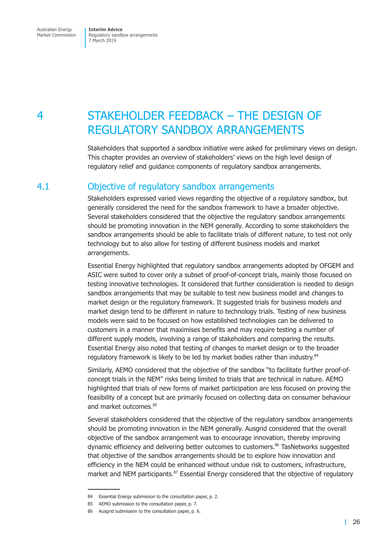<span id="page-31-0"></span>Australian Energy Market Commission **Interim Advice**  Regulatory sandbox arrangements 7 March 2019

## 4 STAKEHOLDER FEEDBACK – THE DESIGN OF REGULATORY SANDBOX ARRANGEMENTS

Stakeholders that supported a sandbox initiative were asked for preliminary views on design. This chapter provides an overview of stakeholders' views on the high level design of regulatory relief and guidance components of regulatory sandbox arrangements.

## 4.1 Objective of regulatory sandbox arrangements

Stakeholders expressed varied views regarding the objective of a regulatory sandbox, but generally considered the need for the sandbox framework to have a broader objective. Several stakeholders considered that the objective the regulatory sandbox arrangements should be promoting innovation in the NEM generally. According to some stakeholders the sandbox arrangements should be able to facilitate trials of different nature, to test not only technology but to also allow for testing of different business models and market arrangements.

Essential Energy highlighted that regulatory sandbox arrangements adopted by OFGEM and ASIC were suited to cover only a subset of proof-of-concept trials, mainly those focused on testing innovative technologies. It considered that further consideration is needed to design sandbox arrangements that may be suitable to test new business model and changes to market design or the regulatory framework. It suggested trials for business models and market design tend to be different in nature to technology trials. Testing of new business models were said to be focused on how established technologies can be delivered to customers in a manner that maximises benefits and may require testing a number of different supply models, involving a range of stakeholders and comparing the results. Essential Energy also noted that testing of changes to market design or to the broader regulatory framework is likely to be led by market bodies rather than industry.<sup>84</sup>

Similarly, AEMO considered that the objective of the sandbox "to facilitate further proof-ofconcept trials in the NEM" risks being limited to trials that are technical in nature. AEMO highlighted that trials of new forms of market participation are less focused on proving the feasibility of a concept but are primarily focused on collecting data on consumer behaviour and market outcomes.<sup>85</sup>

Several stakeholders considered that the objective of the regulatory sandbox arrangements should be promoting innovation in the NEM generally. Ausgrid considered that the overall objective of the sandbox arrangement was to encourage innovation, thereby improving dynamic efficiency and delivering better outcomes to customers.<sup>86</sup> TasNetworks suggested that objective of the sandbox arrangements should be to explore how innovation and efficiency in the NEM could be enhanced without undue risk to customers, infrastructure, market and NEM participants.<sup>87</sup> Essential Energy considered that the objective of regulatory

<sup>84</sup> Essential Energy submission to the consultation paper, p. 2.

<sup>85</sup> AEMO submission to the consultation paper, p. 7.

<sup>86</sup> Ausgrid submission to the consultation paper, p. 6.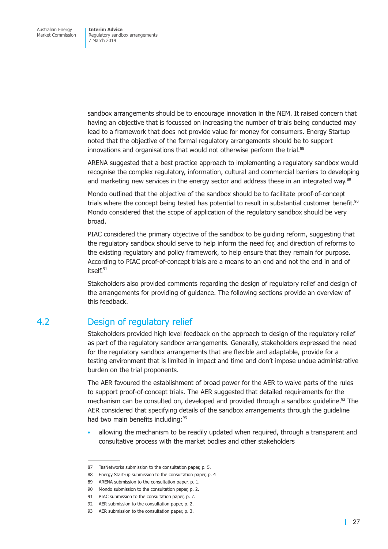<span id="page-32-0"></span>sandbox arrangements should be to encourage innovation in the NEM. It raised concern that having an objective that is focussed on increasing the number of trials being conducted may lead to a framework that does not provide value for money for consumers. Energy Startup noted that the objective of the formal regulatory arrangements should be to support innovations and organisations that would not otherwise perform the trial.<sup>88</sup>

ARENA suggested that a best practice approach to implementing a regulatory sandbox would recognise the complex regulatory, information, cultural and commercial barriers to developing and marketing new services in the energy sector and address these in an integrated way.<sup>89</sup>

Mondo outlined that the objective of the sandbox should be to facilitate proof-of-concept trials where the concept being tested has potential to result in substantial customer benefit.<sup>90</sup> Mondo considered that the scope of application of the regulatory sandbox should be very broad.

PIAC considered the primary objective of the sandbox to be guiding reform, suggesting that the regulatory sandbox should serve to help inform the need for, and direction of reforms to the existing regulatory and policy framework, to help ensure that they remain for purpose. According to PIAC proof-of-concept trials are a means to an end and not the end in and of itself.<sup>91</sup>

Stakeholders also provided comments regarding the design of regulatory relief and design of the arrangements for providing of guidance. The following sections provide an overview of this feedback.

## 4.2 Design of regulatory relief

Stakeholders provided high level feedback on the approach to design of the regulatory relief as part of the regulatory sandbox arrangements. Generally, stakeholders expressed the need for the regulatory sandbox arrangements that are flexible and adaptable, provide for a testing environment that is limited in impact and time and don't impose undue administrative burden on the trial proponents.

The AER favoured the establishment of broad power for the AER to waive parts of the rules to support proof-of-concept trials. The AER suggested that detailed requirements for the mechanism can be consulted on, developed and provided through a sandbox guideline.<sup>92</sup> The AER considered that specifying details of the sandbox arrangements through the guideline had two main benefits including:<sup>93</sup>

• allowing the mechanism to be readily updated when required, through a transparent and consultative process with the market bodies and other stakeholders

<sup>87</sup> TasNetworks submission to the consultation paper, p. 5.

<sup>88</sup> Energy Start-up submission to the consultation paper, p. 4

<sup>89</sup> ARENA submission to the consultation paper, p. 1.

<sup>90</sup> Mondo submission to the consultation paper, p. 2.

<sup>91</sup> PIAC submission to the consultation paper, p. 7.

<sup>92</sup> AER submission to the consultation paper, p. 2.

<sup>93</sup> AER submission to the consultation paper, p. 3.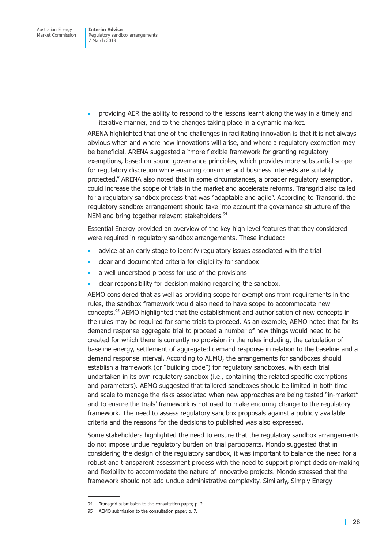• providing AER the ability to respond to the lessons learnt along the way in a timely and iterative manner, and to the changes taking place in a dynamic market.

ARENA highlighted that one of the challenges in facilitating innovation is that it is not always obvious when and where new innovations will arise, and where a regulatory exemption may be beneficial. ARENA suggested a "more flexible framework for granting regulatory exemptions, based on sound governance principles, which provides more substantial scope for regulatory discretion while ensuring consumer and business interests are suitably protected." ARENA also noted that in some circumstances, a broader regulatory exemption, could increase the scope of trials in the market and accelerate reforms. Transgrid also called for a regulatory sandbox process that was "adaptable and agile". According to Transgrid, the regulatory sandbox arrangement should take into account the governance structure of the NEM and bring together relevant stakeholders.<sup>94</sup>

Essential Energy provided an overview of the key high level features that they considered were required in regulatory sandbox arrangements. These included:

- advice at an early stage to identify regulatory issues associated with the trial
- clear and documented criteria for eligibility for sandbox
- a well understood process for use of the provisions
- clear responsibility for decision making regarding the sandbox.

AEMO considered that as well as providing scope for exemptions from requirements in the rules, the sandbox framework would also need to have scope to accommodate new concepts.95 AEMO highlighted that the establishment and authorisation of new concepts in the rules may be required for some trials to proceed. As an example, AEMO noted that for its demand response aggregate trial to proceed a number of new things would need to be created for which there is currently no provision in the rules including, the calculation of baseline energy, settlement of aggregated demand response in relation to the baseline and a demand response interval. According to AEMO, the arrangements for sandboxes should establish a framework (or "building code") for regulatory sandboxes, with each trial undertaken in its own regulatory sandbox (i.e., containing the related specific exemptions and parameters). AEMO suggested that tailored sandboxes should be limited in both time and scale to manage the risks associated when new approaches are being tested "in-market" and to ensure the trials' framework is not used to make enduring change to the regulatory framework. The need to assess regulatory sandbox proposals against a publicly available criteria and the reasons for the decisions to published was also expressed.

Some stakeholders highlighted the need to ensure that the regulatory sandbox arrangements do not impose undue regulatory burden on trial participants. Mondo suggested that in considering the design of the regulatory sandbox, it was important to balance the need for a robust and transparent assessment process with the need to support prompt decision-making and flexibility to accommodate the nature of innovative projects. Mondo stressed that the framework should not add undue administrative complexity. Similarly, Simply Energy

<sup>94</sup> Transgrid submission to the consultation paper, p. 2.

<sup>95</sup> AEMO submission to the consultation paper, p. 7.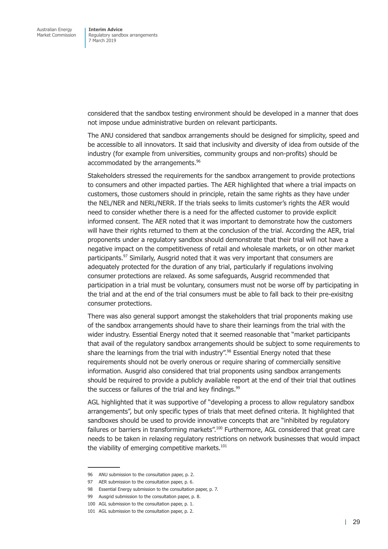considered that the sandbox testing environment should be developed in a manner that does not impose undue administrative burden on relevant participants.

The ANU considered that sandbox arrangements should be designed for simplicity, speed and be accessible to all innovators. It said that inclusivity and diversity of idea from outside of the industry (for example from universities, community groups and non-profits) should be accommodated by the arrangements.<sup>96</sup>

Stakeholders stressed the requirements for the sandbox arrangement to provide protections to consumers and other impacted parties. The AER highlighted that where a trial impacts on customers, those customers should in principle, retain the same rights as they have under the NEL/NER and NERL/NERR. If the trials seeks to limits customer's rights the AER would need to consider whether there is a need for the affected customer to provide explicit informed consent. The AER noted that it was important to demonstrate how the customers will have their rights returned to them at the conclusion of the trial. According the AER, trial proponents under a regulatory sandbox should demonstrate that their trial will not have a negative impact on the competitiveness of retail and wholesale markets, or on other market participants.<sup>97</sup> Similarly, Ausgrid noted that it was very important that consumers are adequately protected for the duration of any trial, particularly if regulations involving consumer protections are relaxed. As some safeguards, Ausgrid recommended that participation in a trial must be voluntary, consumers must not be worse off by participating in the trial and at the end of the trial consumers must be able to fall back to their pre-exisitng consumer protections.

There was also general support amongst the stakeholders that trial proponents making use of the sandbox arrangements should have to share their learnings from the trial with the wider industry. Essential Energy noted that it seemed reasonable that "market participants that avail of the regulatory sandbox arrangements should be subject to some requirements to share the learnings from the trial with industry".<sup>98</sup> Essential Energy noted that these requirements should not be overly onerous or require sharing of commercially sensitive information. Ausgrid also considered that trial proponents using sandbox arrangements should be required to provide a publicly available report at the end of their trial that outlines the success or failures of the trial and key findings. $99$ 

AGL highlighted that it was supportive of "developing a process to allow regulatory sandbox arrangements", but only specific types of trials that meet defined criteria. It highlighted that sandboxes should be used to provide innovative concepts that are "inhibited by regulatory failures or barriers in transforming markets".<sup>100</sup> Furthermore, AGL considered that great care needs to be taken in relaxing regulatory restrictions on network businesses that would impact the viability of emerging competitive markets.<sup>101</sup>

<sup>96</sup> ANU submission to the consultation paper, p. 2.

<sup>97</sup> AER submission to the consultation paper, p. 6.

<sup>98</sup> Essential Energy submission to the consultation paper, p. 7.

<sup>99</sup> Ausgrid submission to the consultation paper, p. 8.

<sup>100</sup> AGL submission to the consultation paper, p. 1.

<sup>101</sup> AGL submission to the consultation paper, p. 2.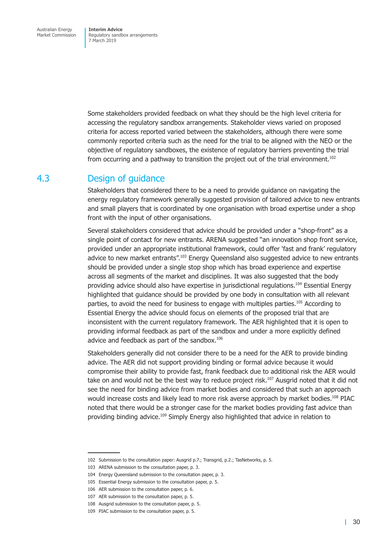<span id="page-35-0"></span>Some stakeholders provided feedback on what they should be the high level criteria for accessing the regulatory sandbox arrangements. Stakeholder views varied on proposed criteria for access reported varied between the stakeholders, although there were some commonly reported criteria such as the need for the trial to be aligned with the NEO or the objective of regulatory sandboxes, the existence of regulatory barriers preventing the trial from occurring and a pathway to transition the project out of the trial environment.<sup>102</sup>

### 4.3 Design of guidance

Stakeholders that considered there to be a need to provide guidance on navigating the energy regulatory framework generally suggested provision of tailored advice to new entrants and small players that is coordinated by one organisation with broad expertise under a shop front with the input of other organisations.

Several stakeholders considered that advice should be provided under a "shop-front" as a single point of contact for new entrants. ARENA suggested "an innovation shop front service, provided under an appropriate institutional framework, could offer 'fast and frank' regulatory advice to new market entrants".<sup>103</sup> Energy Queensland also suggested advice to new entrants should be provided under a single stop shop which has broad experience and expertise across all segments of the market and disciplines. It was also suggested that the body providing advice should also have expertise in jurisdictional regulations.<sup>104</sup> Essential Energy highlighted that guidance should be provided by one body in consultation with all relevant parties, to avoid the need for business to engage with multiples parties.<sup>105</sup> According to Essential Energy the advice should focus on elements of the proposed trial that are inconsistent with the current regulatory framework. The AER highlighted that it is open to providing informal feedback as part of the sandbox and under a more explicitly defined advice and feedback as part of the sandbox.<sup>106</sup>

Stakeholders generally did not consider there to be a need for the AER to provide binding advice. The AER did not support providing binding or formal advice because it would compromise their ability to provide fast, frank feedback due to additional risk the AER would take on and would not be the best way to reduce project risk.<sup>107</sup> Ausgrid noted that it did not see the need for binding advice from market bodies and considered that such an approach would increase costs and likely lead to more risk averse approach by market bodies.<sup>108</sup> PIAC noted that there would be a stronger case for the market bodies providing fast advice than providing binding advice.<sup>109</sup> Simply Energy also highlighted that advice in relation to

<sup>102</sup> Submission to the consultation paper: Ausgrid p.7.; Transgrid, p.2.; TasNetworks, p. 5.

<sup>103</sup> ARENA submission to the consultation paper, p. 3.

<sup>104</sup> Energy Queensland submission to the consultation paper, p. 3.

<sup>105</sup> Essential Energy submission to the consultation paper, p. 5.

<sup>106</sup> AER submission to the consultation paper, p. 6.

<sup>107</sup> AER submission to the consultation paper, p. 5.

<sup>108</sup> Ausgrid submission to the consultation paper, p. 5.

<sup>109</sup> PIAC submission to the consultation paper, p. 5.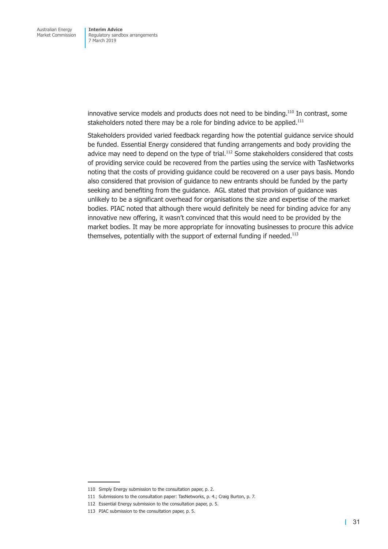innovative service models and products does not need to be binding.<sup>110</sup> In contrast, some stakeholders noted there may be a role for binding advice to be applied.<sup>111</sup>

Stakeholders provided varied feedback regarding how the potential guidance service should be funded. Essential Energy considered that funding arrangements and body providing the advice may need to depend on the type of trial.<sup>112</sup> Some stakeholders considered that costs of providing service could be recovered from the parties using the service with TasNetworks noting that the costs of providing guidance could be recovered on a user pays basis. Mondo also considered that provision of guidance to new entrants should be funded by the party seeking and benefiting from the guidance. AGL stated that provision of guidance was unlikely to be a significant overhead for organisations the size and expertise of the market bodies. PIAC noted that although there would definitely be need for binding advice for any innovative new offering, it wasn't convinced that this would need to be provided by the market bodies. It may be more appropriate for innovating businesses to procure this advice themselves, potentially with the support of external funding if needed.<sup>113</sup>

<sup>110</sup> Simply Energy submission to the consultation paper, p. 2.

<sup>111</sup> Submissions to the consultation paper: TasNetworks, p. 4.; Craig Burton, p. 7.

<sup>112</sup> Essential Energy submission to the consultation paper, p. 5.

<sup>113</sup> PIAC submission to the consultation paper, p. 5.